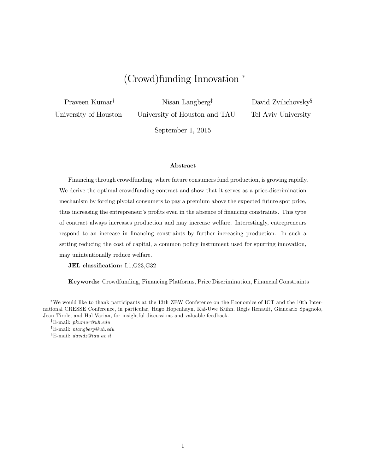# (Crowd)funding Innovation

Praveen Kumar<sup>†</sup>

Nisan Langberg<sup> $\ddagger$ </sup>

University of Houston

University of Houston and TAU

David Zvilichovsky $\S$ Tel Aviv University

September 1, 2015

#### Abstract

Financing through crowdfunding, where future consumers fund production, is growing rapidly. We derive the optimal crowdfunding contract and show that it serves as a price-discrimination mechanism by forcing pivotal consumers to pay a premium above the expected future spot price, thus increasing the entrepreneur's profits even in the absence of financing constraints. This type of contract always increases production and may increase welfare. Interestingly, entrepreneurs respond to an increase in financing constraints by further increasing production. In such a setting reducing the cost of capital, a common policy instrument used for spurring innovation, may unintentionally reduce welfare.

JEL classification: L1,G23,G32

Keywords: Crowdfunding, Financing Platforms, Price Discrimination, Financial Constraints

We would like to thank participants at the 13th ZEW Conference on the Economics of ICT and the 10th International CRESSE Conference, in particular, Hugo Hopenhayn, Kai-Uwe Kühn, Régis Renault, Giancarlo Spagnolo, Jean Tirole, and Hal Varian, for insightful discussions and valuable feedback.

<sup>&</sup>lt;sup>†</sup>E-mail: *pkumar@uh.edu* 

 $E$ -mail: nlangberg@uh.edu

 $E$ -mail: davidz@tau.ac.il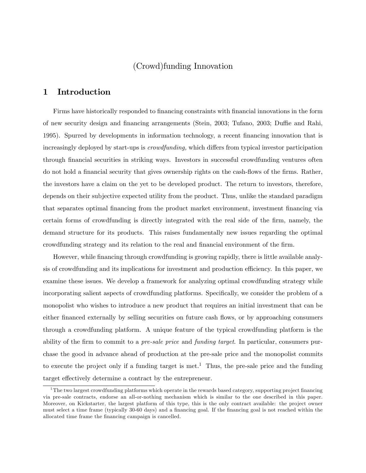## (Crowd)funding Innovation

## 1 Introduction

Firms have historically responded to financing constraints with financial innovations in the form of new security design and financing arrangements (Stein, 2003; Tufano, 2003; Duffie and Rahi, 1995). Spurred by developments in information technology, a recent Önancing innovation that is increasingly deployed by start-ups is *crowdfunding*, which differs from typical investor participation through Önancial securities in striking ways. Investors in successful crowdfunding ventures often do not hold a financial security that gives ownership rights on the cash-flows of the firms. Rather, the investors have a claim on the yet to be developed product. The return to investors, therefore, depends on their subjective expected utility from the product. Thus, unlike the standard paradigm that separates optimal Önancing from the product market environment, investment Önancing via certain forms of crowdfunding is directly integrated with the real side of the firm, namely, the demand structure for its products. This raises fundamentally new issues regarding the optimal crowdfunding strategy and its relation to the real and financial environment of the firm.

However, while financing through crowdfunding is growing rapidly, there is little available analysis of crowdfunding and its implications for investment and production efficiency. In this paper, we examine these issues. We develop a framework for analyzing optimal crowdfunding strategy while incorporating salient aspects of crowdfunding platforms. Specifically, we consider the problem of a monopolist who wishes to introduce a new product that requires an initial investment that can be either financed externally by selling securities on future cash flows, or by approaching consumers through a crowdfunding platform. A unique feature of the typical crowdfunding platform is the ability of the firm to commit to a *pre-sale price* and *funding target*. In particular, consumers purchase the good in advance ahead of production at the pre-sale price and the monopolist commits to execute the project only if a funding target is met.<sup>1</sup> Thus, the pre-sale price and the funding target effectively determine a contract by the entrepreneur.

 $1$ The two largest crowdfunding platforms which operate in the rewards based category, supporting project financing via pre-sale contracts, endorse an all-or-nothing mechanism which is similar to the one described in this paper. Moreover, on Kickstarter, the largest platform of this type, this is the only contract available: the project owner must select a time frame (typically 30-60 days) and a financing goal. If the financing goal is not reached within the allocated time frame the financing campaign is cancelled.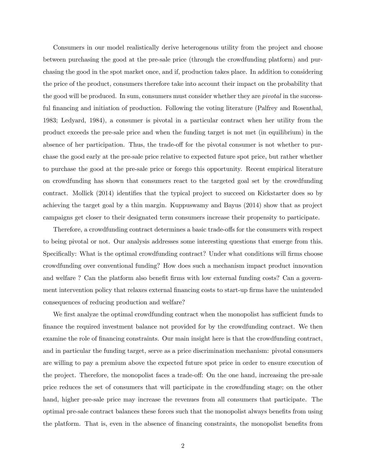Consumers in our model realistically derive heterogenous utility from the project and choose between purchasing the good at the pre-sale price (through the crowdfunding platform) and purchasing the good in the spot market once, and if, production takes place. In addition to considering the price of the product, consumers therefore take into account their impact on the probability that the good will be produced. In sum, consumers must consider whether they are *pivotal* in the successful financing and initiation of production. Following the voting literature (Palfrey and Rosenthal, 1983; Ledyard, 1984), a consumer is pivotal in a particular contract when her utility from the product exceeds the pre-sale price and when the funding target is not met (in equilibrium) in the absence of her participation. Thus, the trade-off for the pivotal consumer is not whether to purchase the good early at the pre-sale price relative to expected future spot price, but rather whether to purchase the good at the pre-sale price or forego this opportunity. Recent empirical literature on crowdfunding has shown that consumers react to the targeted goal set by the crowdfunding contract. Mollick (2014) identifies that the typical project to succeed on Kickstarter does so by achieving the target goal by a thin margin. Kuppuswamy and Bayus (2014) show that as project campaigns get closer to their designated term consumers increase their propensity to participate.

Therefore, a crowdfunding contract determines a basic trade-offs for the consumers with respect to being pivotal or not. Our analysis addresses some interesting questions that emerge from this. Specifically: What is the optimal crowdfunding contract? Under what conditions will firms choose crowdfunding over conventional funding? How does such a mechanism impact product innovation and welfare? Can the platform also benefit firms with low external funding costs? Can a government intervention policy that relaxes external financing costs to start-up firms have the unintended consequences of reducing production and welfare?

We first analyze the optimal crowdfunding contract when the monopolist has sufficient funds to finance the required investment balance not provided for by the crowdfunding contract. We then examine the role of financing constraints. Our main insight here is that the crowdfunding contract, and in particular the funding target, serve as a price discrimination mechanism: pivotal consumers are willing to pay a premium above the expected future spot price in order to ensure execution of the project. Therefore, the monopolist faces a trade-off: On the one hand, increasing the pre-sale price reduces the set of consumers that will participate in the crowdfunding stage; on the other hand, higher pre-sale price may increase the revenues from all consumers that participate. The optimal pre-sale contract balances these forces such that the monopolist always benefits from using the platform. That is, even in the absence of financing constraints, the monopolist benefits from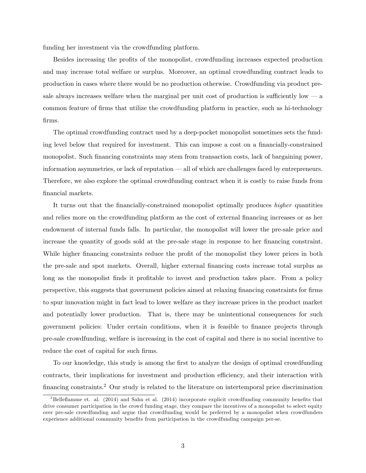funding her investment via the crowdfunding platform.

Besides increasing the profits of the monopolist, crowdfunding increases expected production and may increase total welfare or surplus. Moreover, an optimal crowdfunding contract leads to production in cases where there would be no production otherwise. Crowdfunding via product presale always increases welfare when the marginal per unit cost of production is sufficiently low  $\frac{1}{2}$  a common feature of firms that utilize the crowdfunding platform in practice, such as hi-technology Örms.

The optimal crowdfunding contract used by a deep-pocket monopolist sometimes sets the funding level below that required for investment. This can impose a cost on a financially-constrained monopolist. Such financing constraints may stem from transaction costs, lack of bargaining power, information asymmetries, or lack of reputation  $-\text{ all of which are challenges faced by antrepreneurs.}$ Therefore, we also explore the optimal crowdfunding contract when it is costly to raise funds from financial markets.

It turns out that the financially-constrained monopolist optimally produces *higher* quantities and relies more on the crowdfunding platform as the cost of external financing increases or as her endowment of internal funds falls. In particular, the monopolist will lower the pre-sale price and increase the quantity of goods sold at the pre-sale stage in response to her financing constraint. While higher financing constraints reduce the profit of the monopolist they lower prices in both the pre-sale and spot markets. Overall, higher external Önancing costs increase total surplus as long as the monopolist finds it profitable to invest and production takes place. From a policy perspective, this suggests that government policies aimed at relaxing Önancing constraints for Örms to spur innovation might in fact lead to lower welfare as they increase prices in the product market and potentially lower production. That is, there may be unintentional consequences for such government policies: Under certain conditions, when it is feasible to finance projects through pre-sale crowdfunding, welfare is increasing in the cost of capital and there is no social incentive to reduce the cost of capital for such firms.

To our knowledge, this study is among the first to analyze the design of optimal crowdfunding contracts, their implications for investment and production efficiency, and their interaction with financing constraints.<sup>2</sup> Our study is related to the literature on intertemporal price discrimination

<sup>&</sup>lt;sup>2</sup>Belleflamme et. al.  $(2014)$  and Sahn et al.  $(2014)$  incorporate explicit crowdfunding community benefits that drive consumer participation in the crowd funding stage, they compare the incentives of a monopolist to select equity over pre-sale crowdfunding and argue that crowdfunding would be preferred by a monopolist when crowdfunders experience additional community benefits from participation in the crowdfunding campaign per-se.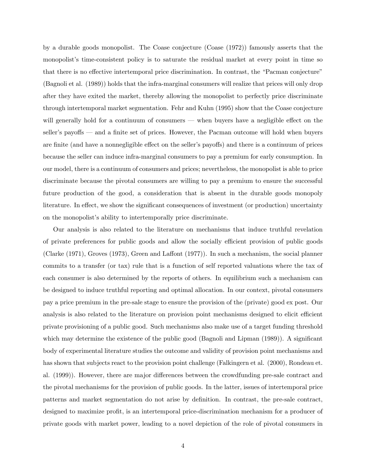by a durable goods monopolist. The Coase conjecture (Coase (1972)) famously asserts that the monopolist's time-consistent policy is to saturate the residual market at every point in time so that there is no effective intertemporal price discrimination. In contrast, the "Pacman conjecture" (Bagnoli et al. (1989)) holds that the infra-marginal consumers will realize that prices will only drop after they have exited the market, thereby allowing the monopolist to perfectly price discriminate through intertemporal market segmentation. Fehr and Kuhn (1995) show that the Coase conjecture will generally hold for a continuum of consumers  $-$  when buyers have a negligible effect on the seller's payoffs — and a finite set of prices. However, the Pacman outcome will hold when buyers are finite (and have a nonnegligible effect on the seller's payoffs) and there is a continuum of prices because the seller can induce infra-marginal consumers to pay a premium for early consumption. In our model, there is a continuum of consumers and prices; nevertheless, the monopolist is able to price discriminate because the pivotal consumers are willing to pay a premium to ensure the successful future production of the good, a consideration that is absent in the durable goods monopoly literature. In effect, we show the significant consequences of investment (or production) uncertainty on the monopolist's ability to intertemporally price discriminate.

Our analysis is also related to the literature on mechanisms that induce truthful revelation of private preferences for public goods and allow the socially efficient provision of public goods (Clarke  $(1971)$ , Groves  $(1973)$ , Green and Laffont  $(1977)$ ). In such a mechanism, the social planner commits to a transfer (or tax) rule that is a function of self reported valuations where the tax of each consumer is also determined by the reports of others. In equilibrium such a mechanism can be designed to induce truthful reporting and optimal allocation. In our context, pivotal consumers pay a price premium in the pre-sale stage to ensure the provision of the (private) good ex post. Our analysis is also related to the literature on provision point mechanisms designed to elicit efficient private provisioning of a public good. Such mechanisms also make use of a target funding threshold which may determine the existence of the public good (Bagnoli and Lipman  $(1989)$ ). A significant body of experimental literature studies the outcome and validity of provision point mechanisms and has shown that subjects react to the provision point challenge (Falkingern et al. (2000), Rondeau et. al. (1999)). However, there are major differences between the crowdfunding pre-sale contract and the pivotal mechanisms for the provision of public goods. In the latter, issues of intertemporal price patterns and market segmentation do not arise by definition. In contrast, the pre-sale contract, designed to maximize profit, is an intertemporal price-discrimination mechanism for a producer of private goods with market power, leading to a novel depiction of the role of pivotal consumers in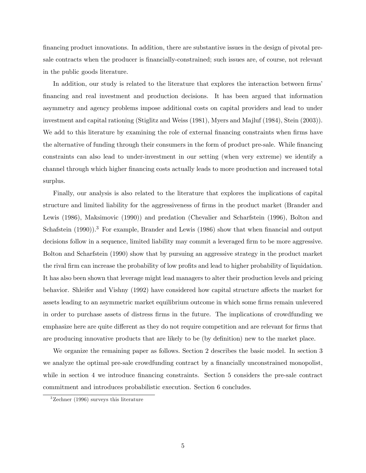financing product innovations. In addition, there are substantive issues in the design of pivotal presale contracts when the producer is financially-constrained; such issues are, of course, not relevant in the public goods literature.

In addition, our study is related to the literature that explores the interaction between firms Önancing and real investment and production decisions. It has been argued that information asymmetry and agency problems impose additional costs on capital providers and lead to under investment and capital rationing (Stiglitz and Weiss (1981), Myers and Majluf (1984), Stein (2003)). We add to this literature by examining the role of external financing constraints when firms have the alternative of funding through their consumers in the form of product pre-sale. While financing constraints can also lead to under-investment in our setting (when very extreme) we identify a channel through which higher financing costs actually leads to more production and increased total surplus.

Finally, our analysis is also related to the literature that explores the implications of capital structure and limited liability for the aggressiveness of firms in the product market (Brander and Lewis (1986), Maksimovic (1990)) and predation (Chevalier and Scharfstein (1996), Bolton and Schafstein  $(1990)$ .<sup>3</sup> For example, Brander and Lewis  $(1986)$  show that when financial and output decisions follow in a sequence, limited liability may commit a leveraged firm to be more aggressive. Bolton and Scharfstein (1990) show that by pursuing an aggressive strategy in the product market the rival firm can increase the probability of low profits and lead to higher probability of liquidation. It has also been shown that leverage might lead managers to alter their production levels and pricing behavior. Shleifer and Vishny (1992) have considered how capital structure affects the market for assets leading to an asymmetric market equilibrium outcome in which some firms remain unlevered in order to purchase assets of distress firms in the future. The implications of crowdfunding we emphasize here are quite different as they do not require competition and are relevant for firms that are producing innovative products that are likely to be (by definition) new to the market place.

We organize the remaining paper as follows. Section 2 describes the basic model. In section 3 we analyze the optimal pre-sale crowdfunding contract by a financially unconstrained monopolist, while in section 4 we introduce financing constraints. Section 5 considers the pre-sale contract commitment and introduces probabilistic execution. Section 6 concludes.

 $3$ Zechner (1996) surveys this literature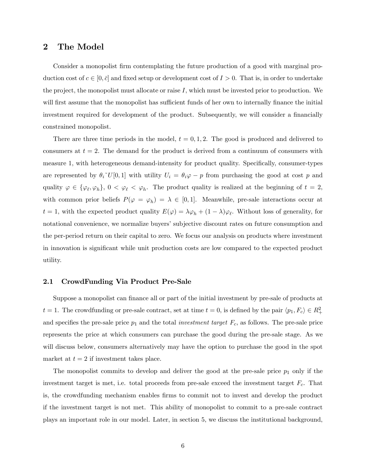## 2 The Model

Consider a monopolist firm contemplating the future production of a good with marginal production cost of  $c \in [0, \bar{c}]$  and fixed setup or development cost of  $I > 0$ . That is, in order to undertake the project, the monopolist must allocate or raise  $I$ , which must be invested prior to production. We will first assume that the monopolist has sufficient funds of her own to internally finance the initial investment required for development of the product. Subsequently, we will consider a financially constrained monopolist.

There are three time periods in the model,  $t = 0, 1, 2$ . The good is produced and delivered to consumers at  $t = 2$ . The demand for the product is derived from a continuum of consumers with measure 1, with heterogeneous demand-intensity for product quality. Specifically, consumer-types are represented by  $\theta_i$ <sup>~</sup>U[0,1] with utility  $U_i = \theta_i \varphi - p$  from purchasing the good at cost p and quality  $\varphi \in {\varphi_{\ell}, \varphi_h}, 0 < \varphi_{\ell} < \varphi_h$ . The product quality is realized at the beginning of  $t = 2$ , with common prior beliefs  $P(\varphi = \varphi_h) = \lambda \in [0, 1]$ . Meanwhile, pre-sale interactions occur at  $t = 1$ , with the expected product quality  $E(\varphi) = \lambda \varphi_h + (1 - \lambda)\varphi_{\ell}$ . Without loss of generality, for notational convenience, we normalize buyers' subjective discount rates on future consumption and the per-period return on their capital to zero. We focus our analysis on products where investment in innovation is significant while unit production costs are low compared to the expected product utility.

#### 2.1 CrowdFunding Via Product Pre-Sale

Suppose a monopolist can finance all or part of the initial investment by pre-sale of products at  $t = 1$ . The crowdfunding or pre-sale contract, set at time  $t = 0$ , is defined by the pair  $\langle p_1, F_c \rangle \in R_+^2$ and specifies the pre-sale price  $p_1$  and the total *investment target*  $F_c$ , as follows. The pre-sale price represents the price at which consumers can purchase the good during the pre-sale stage. As we will discuss below, consumers alternatively may have the option to purchase the good in the spot market at  $t = 2$  if investment takes place.

The monopolist commits to develop and deliver the good at the pre-sale price  $p_1$  only if the investment target is met, i.e. total proceeds from pre-sale exceed the investment target  $F_c$ . That is, the crowdfunding mechanism enables firms to commit not to invest and develop the product if the investment target is not met. This ability of monopolist to commit to a pre-sale contract plays an important role in our model. Later, in section 5, we discuss the institutional background,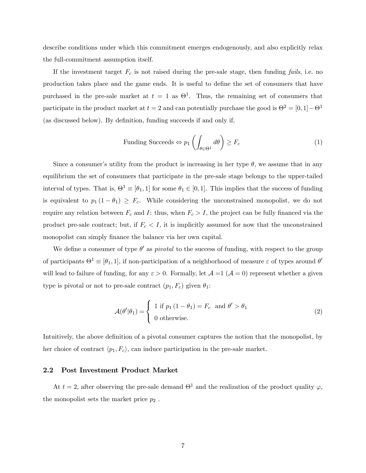describe conditions under which this commitment emerges endogenously, and also explicitly relax the full-commitment assumption itself.

If the investment target  $F_c$  is not raised during the pre-sale stage, then funding fails, i.e. no production takes place and the game ends. It is useful to define the set of consumers that have purchased in the pre-sale market at  $t = 1$  as  $\Theta^1$ . Thus, the remaining set of consumers that participate in the product market at  $t = 2$  and can potentially purchase the good is  $\Theta^2 = [0, 1] - \Theta^1$ (as discussed below). By definition, funding succeeds if and only if,

$$
\text{Funding Success} \Leftrightarrow p_1 \left( \int_{\theta \in \Theta^1} d\theta \right) \ge F_c \tag{1}
$$

Since a consumer's utility from the product is increasing in her type  $\theta$ , we assume that in any equilibrium the set of consumers that participate in the pre-sale stage belongs to the upper-tailed interval of types. That is,  $\Theta^1 \equiv [\theta_1, 1]$  for some  $\theta_1 \in [0, 1]$ . This implies that the success of funding is equivalent to  $p_1 (1 - \theta_1) \geq F_c$ . While considering the unconstrained monopolist, we do not require any relation between  $F_c$  and I: thus, when  $F_c > I$ , the project can be fully financed via the product pre-sale contract; but, if  $F_c < I$ , it is implicitly assumed for now that the unconstrained monopolist can simply finance the balance via her own capital.

We define a consumer of type  $\theta'$  as *pivotal* to the success of funding, with respect to the group of participants  $\Theta^1 \equiv [\theta_1, 1]$ , if non-participation of a neighborhood of measure  $\varepsilon$  of types around  $\theta'$ will lead to failure of funding, for any  $\varepsilon > 0$ . Formally, let  $\mathcal{A} = 1$  ( $\mathcal{A} = 0$ ) represent whether a given type is pivotal or not to pre-sale contract  $(p_1, F_c)$  given  $\theta_1$ :

$$
\mathcal{A}(\theta'|\theta_1) = \begin{cases} 1 \text{ if } p_1 (1 - \theta_1) = F_c \text{ and } \theta' > \theta_1 \\ 0 \text{ otherwise.} \end{cases}
$$
 (2)

Intuitively, the above definition of a pivotal consumer captures the notion that the monopolist, by her choice of contract  $\langle p_1, F_c \rangle$ , can induce participation in the pre-sale market.

#### 2.2 Post Investment Product Market

At  $t = 2$ , after observing the pre-sale demand  $\Theta^1$  and the realization of the product quality  $\varphi$ , the monopolist sets the market price  $p_2$ .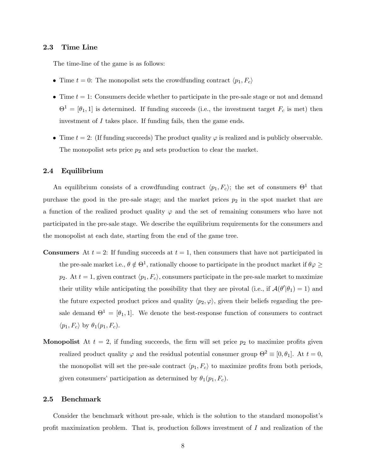#### 2.3 Time Line

The time-line of the game is as follows:

- Time  $t = 0$ : The monopolist sets the crowdfunding contract  $\langle p_1, F_c \rangle$
- $\bullet$  Time  $t = 1$ : Consumers decide whether to participate in the pre-sale stage or not and demand  $\Theta^1 = [\theta_1, 1]$  is determined. If funding succeeds (i.e., the investment target  $F_c$  is met) then investment of I takes place. If funding fails, then the game ends.
- Time  $t = 2$ : (If funding succeeds) The product quality  $\varphi$  is realized and is publicly observable. The monopolist sets price  $p_2$  and sets production to clear the market.

### 2.4 Equilibrium

An equilibrium consists of a crowdfunding contract  $\langle p_1, F_c \rangle$ ; the set of consumers  $\Theta^1$  that purchase the good in the pre-sale stage; and the market prices  $p_2$  in the spot market that are a function of the realized product quality  $\varphi$  and the set of remaining consumers who have not participated in the pre-sale stage. We describe the equilibrium requirements for the consumers and the monopolist at each date, starting from the end of the game tree.

- **Consumers** At  $t = 2$ : If funding succeeds at  $t = 1$ , then consumers that have not participated in the pre-sale market i.e.,  $\theta \notin \Theta^1$ , rationally choose to participate in the product market if  $\theta \varphi \geq$  $p_2$ . At  $t = 1$ , given contract  $\langle p_1, F_c \rangle$ , consumers participate in the pre-sale market to maximize their utility while anticipating the possibility that they are pivotal (i.e., if  $\mathcal{A}(\theta'|\theta_1) = 1$ ) and the future expected product prices and quality  $\langle p_2, \varphi \rangle$ , given their beliefs regarding the presale demand  $\Theta^1 = [\theta_1, 1]$ . We denote the best-response function of consumers to contract  $\langle p_1, F_c \rangle$  by  $\theta_1(p_1, F_c)$ .
- **Monopolist** At  $t = 2$ , if funding succeeds, the firm will set price  $p_2$  to maximize profits given realized product quality  $\varphi$  and the residual potential consumer group  $\Theta^2 \equiv [0, \theta_1]$ . At  $t = 0$ , the monopolist will set the pre-sale contract  $\langle p_1, F_c \rangle$  to maximize profits from both periods, given consumers' participation as determined by  $\theta_1(p_1, F_c)$ .

#### 2.5 Benchmark

Consider the benchmark without pre-sale, which is the solution to the standard monopolist's profit maximization problem. That is, production follows investment of  $I$  and realization of the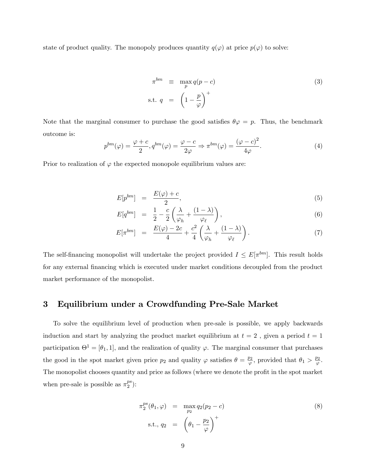state of product quality. The monopoly produces quantity  $q(\varphi)$  at price  $p(\varphi)$  to solve:

$$
\pi^{bm} \equiv \max_{p} q(p-c) \tag{3}
$$
\n
$$
\text{s.t. } q = \left(1 - \frac{p}{\varphi}\right)^{+}
$$

Note that the marginal consumer to purchase the good satisfies  $\theta \varphi = p$ . Thus, the benchmark outcome is: 2

$$
p^{bm}(\varphi) = \frac{\varphi + c}{2}, q^{bm}(\varphi) = \frac{\varphi - c}{2\varphi} \Rightarrow \pi^{bm}(\varphi) = \frac{(\varphi - c)^2}{4\varphi}.
$$
 (4)

Prior to realization of  $\varphi$  the expected monopole equilibrium values are:

$$
E[p^{bm}] = \frac{E(\varphi) + c}{2}, \tag{5}
$$

$$
E[q^{bm}] = \frac{1}{2} - \frac{c}{2} \left( \frac{\lambda}{\varphi_h} + \frac{(1-\lambda)}{\varphi_\ell} \right),\tag{6}
$$

$$
E[\pi^{bm}] = \frac{E(\varphi) - 2c}{4} + \frac{c^2}{4} \left( \frac{\lambda}{\varphi_h} + \frac{(1 - \lambda)}{\varphi_\ell} \right). \tag{7}
$$

The self-financing monopolist will undertake the project provided  $I \leq E[\pi^{bm}]$ . This result holds for any external financing which is executed under market conditions decoupled from the product market performance of the monopolist.

## 3 Equilibrium under a Crowdfunding Pre-Sale Market

To solve the equilibrium level of production when pre-sale is possible, we apply backwards induction and start by analyzing the product market equilibrium at  $t = 2$ , given a period  $t = 1$ participation  $\Theta^1 = [\theta_1, 1]$ , and the realization of quality  $\varphi$ . The marginal consumer that purchases the good in the spot market given price  $p_2$  and quality  $\varphi$  satisfies  $\theta = \frac{p_2}{\varphi}$ , provided that  $\theta_1 > \frac{p_2}{\varphi}$ . The monopolist chooses quantity and price as follows (where we denote the profit in the spot market when pre-sale is possible as  $\pi_2^{ps}$  $_2^{ps}$ ):

$$
\pi_2^{ps}(\theta_1, \varphi) = \max_{p_2} q_2(p_2 - c)
$$
\n
$$
\text{s.t., } q_2 = \left(\theta_1 - \frac{p_2}{\varphi}\right)^+
$$
\n(8)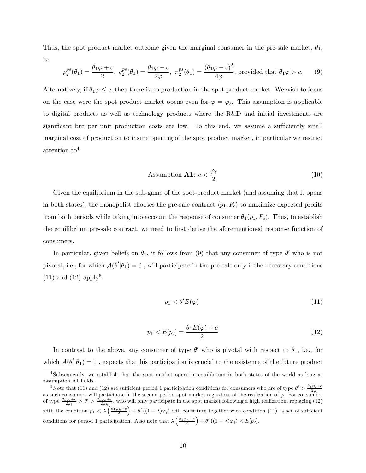Thus, the spot product market outcome given the marginal consumer in the pre-sale market,  $\theta_1$ , is:

$$
p_2^{ps}(\theta_1) = \frac{\theta_1 \varphi + c}{2}, \ q_2^{ps}(\theta_1) = \frac{\theta_1 \varphi - c}{2\varphi}, \ \pi_2^{ps}(\theta_1) = \frac{(\theta_1 \varphi - c)^2}{4\varphi}, \text{ provided that } \theta_1 \varphi > c. \tag{9}
$$

Alternatively, if  $\theta_1 \varphi \leq c$ , then there is no production in the spot product market. We wish to focus on the case were the spot product market opens even for  $\varphi = \varphi_{\ell}$ . This assumption is applicable to digital products as well as technology products where the R&D and initial investments are significant but per unit production costs are low. To this end, we assume a sufficiently small marginal cost of production to insure opening of the spot product market, in particular we restrict attention to<sup>4</sup>

Assumption **A1**: 
$$
c < \frac{\varphi_{\ell}}{2}
$$
 (10)

Given the equilibrium in the sub-game of the spot-product market (and assuming that it opens in both states), the monopolist chooses the pre-sale contract  $\langle p_1, F_c \rangle$  to maximize expected profits from both periods while taking into account the response of consumer  $\theta_1(p_1, F_c)$ . Thus, to establish the equilibrium pre-sale contract, we need to first derive the aforementioned response function of consumers.

In particular, given beliefs on  $\theta_1$ , it follows from (9) that any consumer of type  $\theta'$  who is not pivotal, i.e., for which  $\mathcal{A}(\theta'|\theta_1) = 0$ , will participate in the pre-sale only if the necessary conditions  $(11)$  and  $(12)$  apply<sup>5</sup>:

$$
p_1 < \theta' E(\varphi) \tag{11}
$$

$$
p_1 < E[p_2] = \frac{\theta_1 E(\varphi) + c}{2} \tag{12}
$$

In contrast to the above, any consumer of type  $\theta'$  who is pivotal with respect to  $\theta_1$ , i.e., for which  $\mathcal{A}(\theta'|\theta_1) = 1$ , expects that his participation is crucial to the existence of the future product

<sup>4</sup> Subsequently, we establish that the spot market opens in equilibrium in both states of the world as long as assumption A1 holds.

<sup>&</sup>lt;sup>5</sup>Note that (11) and (12) are sufficient period 1 participation conditions for consumers who are of type  $\theta' > \frac{\theta_1 \varphi_l + c}{2\varphi_l}$ Exercise that (11) and (12) are summers period 1 participation conditions for consumers who are or type  $\frac{2\varphi_l}{2\varphi_l}$  as such consumers will participate in the second period spot market regardless of the realization o of type  $\frac{\theta_1\varphi_l+c}{2\varphi_l} > \theta' > \frac{\theta_1\varphi_h+c}{2\varphi_h}$ , who will only participate in the spot market following a high realization, replacing (12) with the condition  $p_1 \lt \lambda\left(\frac{\theta_1\varphi_h+c}{2}\right)+\theta'\left((1-\lambda)\varphi_\ell\right)$  will constitute together with condition (11) a set of sufficient conditions for period 1 participation. Also note that  $\lambda\left(\frac{\theta_1\varphi_h+c}{2}\right)+\theta'\left((1-\lambda)\varphi_\ell\right)< E[p_2].$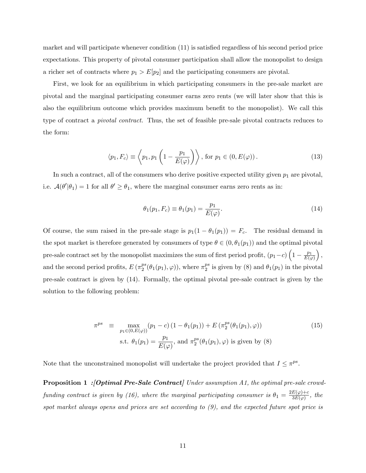market and will participate whenever condition (11) is satisfied regardless of his second period price expectations. This property of pivotal consumer participation shall allow the monopolist to design a richer set of contracts where  $p_1 > E[p_2]$  and the participating consumers are pivotal.

First, we look for an equilibrium in which participating consumers in the pre-sale market are pivotal and the marginal participating consumer earns zero rents (we will later show that this is also the equilibrium outcome which provides maximum benefit to the monopolist). We call this type of contract a pivotal contract. Thus, the set of feasible pre-sale pivotal contracts reduces to the form:

$$
\langle p_1, F_c \rangle \equiv \left\langle p_1, p_1 \left( 1 - \frac{p_1}{E(\varphi)} \right) \right\rangle, \text{ for } p_1 \in (0, E(\varphi)). \tag{13}
$$

In such a contract, all of the consumers who derive positive expected utility given  $p_1$  are pivotal, i.e.  $\mathcal{A}(\theta'|\theta_1) = 1$  for all  $\theta' \ge \theta_1$ , where the marginal consumer earns zero rents as in:

$$
\theta_1(p_1, F_c) \equiv \theta_1(p_1) = \frac{p_1}{E(\varphi)}.
$$
\n(14)

Of course, the sum raised in the pre-sale stage is  $p_1(1 - \theta_1(p_1)) = F_c$ . The residual demand in the spot market is therefore generated by consumers of type  $\theta \in (0, \theta_1(p_1))$  and the optimal pivotal pre-sale contract set by the monopolist maximizes the sum of first period profit,  $(p_1-c)\left(1-\frac{p_1}{E(q_1-c)}\right)$  $E(\varphi)$  $\bigg),$ and the second period profits,  $E(\pi_2^{ps})$  $_2^{ps}(\theta_1(p_1), \varphi)$ , where  $\pi_2^{ps}$  $_2^{ps}$  is given by (8) and  $\theta_1(p_1)$  in the pivotal pre-sale contract is given by (14). Formally, the optimal pivotal pre-sale contract is given by the solution to the following problem:

$$
\pi^{ps} \equiv \max_{p_1 \in (0, E(\varphi))} (p_1 - c) (1 - \theta_1(p_1)) + E \left( \pi_2^{ps} (\theta_1(p_1), \varphi) \right)
$$
\n
$$
\text{s.t. } \theta_1(p_1) = \frac{p_1}{E(\varphi)}, \text{ and } \pi_2^{ps} (\theta_1(p_1), \varphi) \text{ is given by (8)}
$$
\n
$$
(15)
$$

Note that the unconstrained monopolist will undertake the project provided that  $I \leq \pi^{ps}$ .

**Proposition 1 : [Optimal Pre-Sale Contract]** Under assumption A1, the optimal pre-sale crowdfunding contract is given by (16), where the marginal participating consumer is  $\theta_1 = \frac{2E(\varphi) + c}{3E(\varphi)}$  $\frac{E(\varphi)+c}{3E(\varphi)}$ , the spot market always opens and prices are set according to (9), and the expected future spot price is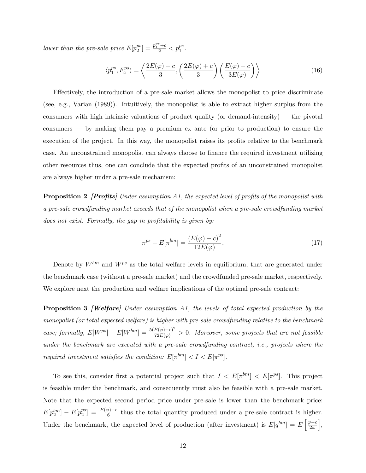lower than the pre-sale price  $E[p_2^{ps}]$  $\binom{ps}{2} = \frac{p_1^{ps} + c}{2} < p_1^{ps}.$ 

$$
\langle p_1^{ps}, F_c^{ps} \rangle = \left\langle \frac{2E(\varphi) + c}{3}, \left( \frac{2E(\varphi) + c}{3} \right) \left( \frac{E(\varphi) - c}{3E(\varphi)} \right) \right\rangle \tag{16}
$$

Effectively, the introduction of a pre-sale market allows the monopolist to price discriminate (see, e.g., Varian (1989)). Intuitively, the monopolist is able to extract higher surplus from the consumers with high intrinsic valuations of product quality (or demand-intensity)  $-$  the pivotal consumers  $\sim$  by making them pay a premium ex ante (or prior to production) to ensure the execution of the project. In this way, the monopolist raises its profits relative to the benchmark case. An unconstrained monopolist can always choose to finance the required investment utilizing other resources thus, one can conclude that the expected profits of an unconstrained monopolist are always higher under a pre-sale mechanism:

**Proposition 2** [**Profits**] Under assumption A1, the expected level of profits of the monopolist with a pre-sale crowdfunding market exceeds that of the monopolist when a pre-sale crowdfunding market  $does not exist. Formally, the gap in profitability is given by:$ 

$$
\pi^{ps} - E[\pi^{bm}] = \frac{(E(\varphi) - c)^2}{12E(\varphi)}.
$$
\n(17)

Denote by  $W^{bm}$  and  $W^{ps}$  as the total welfare levels in equilibrium, that are generated under the benchmark case (without a pre-sale market) and the crowdfunded pre-sale market, respectively. We explore next the production and welfare implications of the optimal pre-sale contract:

**Proposition 3** *[Welfare]* Under assumption A1, the levels of total expected production by the monopolist (or total expected welfare) is higher with pre-sale crowdfunding relative to the benchmark case; formally,  $E[W^{ps}] - E[W^{bm}] = \frac{5(E(\varphi) - c)^2}{72E(\varphi)} > 0$ . Moreover, some projects that are not feasible under the benchmark are executed with a pre-sale crowdfunding contract, i.e., projects where the required investment satisfies the condition:  $E[\pi^{bm}] < I < E[\pi^{ps}]$ .

To see this, consider first a potential project such that  $I < E[\pi^{bm}] < E[\pi^{ps}]$ . This project is feasible under the benchmark, and consequently must also be feasible with a pre-sale market. Note that the expected second period price under pre-sale is lower than the benchmark price:  $E[p_2^{bm}] - E[p_2^{ps}]$  $\binom{ps}{2} = \frac{E(\varphi)-c}{6}$  thus the total quantity produced under a pre-sale contract is higher. Under the benchmark, the expected level of production (after investment) is  $E[q^{bm}] = E\left[\frac{\varphi - c}{2\varphi}\right]$ i ,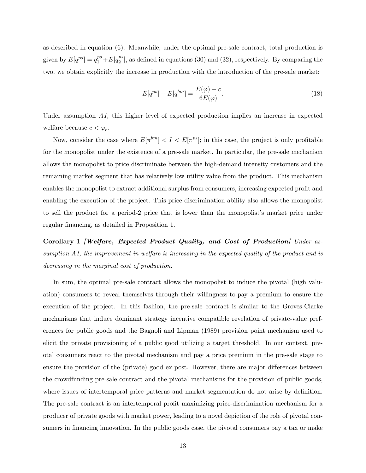as described in equation (6). Meanwhile, under the optimal pre-sale contract, total production is given by  $E[q^{ps}] = q_1^{ps} + E[q_2^{ps}]$  $\binom{ps}{2}$ , as defined in equations (30) and (32), respectively. By comparing the two, we obtain explicitly the increase in production with the introduction of the pre-sale market:

$$
E[q^{ps}] - E[q^{bm}] = \frac{E(\varphi) - c}{6E(\varphi)}.
$$
\n
$$
(18)
$$

Under assumption A1, this higher level of expected production implies an increase in expected welfare because  $c < \varphi_{\ell}$ .

Now, consider the case where  $E[\pi^{bm}] < I < E[\pi^{ps}]$ ; in this case, the project is only profitable for the monopolist under the existence of a pre-sale market. In particular, the pre-sale mechanism allows the monopolist to price discriminate between the high-demand intensity customers and the remaining market segment that has relatively low utility value from the product. This mechanism enables the monopolist to extract additional surplus from consumers, increasing expected profit and enabling the execution of the project. This price discrimination ability also allows the monopolist to sell the product for a period-2 price that is lower than the monopolist's market price under regular financing, as detailed in Proposition 1.

Corollary 1 *[Welfare, Expected Product Quality, and Cost of Production] Under as*sumption A1, the improvement in welfare is increasing in the expected quality of the product and is decreasing in the marginal cost of production.

In sum, the optimal pre-sale contract allows the monopolist to induce the pivotal (high valuation) consumers to reveal themselves through their willingness-to-pay a premium to ensure the execution of the project. In this fashion, the pre-sale contract is similar to the Groves-Clarke mechanisms that induce dominant strategy incentive compatible revelation of private-value preferences for public goods and the Bagnoli and Lipman (1989) provision point mechanism used to elicit the private provisioning of a public good utilizing a target threshold. In our context, pivotal consumers react to the pivotal mechanism and pay a price premium in the pre-sale stage to ensure the provision of the (private) good ex post. However, there are major differences between the crowdfunding pre-sale contract and the pivotal mechanisms for the provision of public goods, where issues of intertemporal price patterns and market segmentation do not arise by definition. The pre-sale contract is an intertemporal profit maximizing price-discrimination mechanism for a producer of private goods with market power, leading to a novel depiction of the role of pivotal consumers in financing innovation. In the public goods case, the pivotal consumers pay a tax or make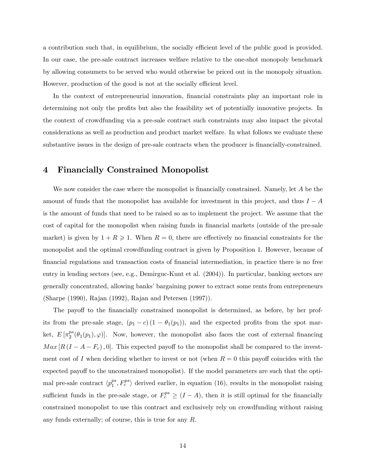a contribution such that, in equilibrium, the socially efficient level of the public good is provided. In our case, the pre-sale contract increases welfare relative to the one-shot monopoly benchmark by allowing consumers to be served who would otherwise be priced out in the monopoly situation. However, production of the good is not at the socially efficient level.

In the context of entrepreneurial innovation, financial constraints play an important role in determining not only the profits but also the feasibility set of potentially innovative projects. In the context of crowdfunding via a pre-sale contract such constraints may also impact the pivotal considerations as well as production and product market welfare. In what follows we evaluate these substantive issues in the design of pre-sale contracts when the producer is financially-constrained.

## 4 Financially Constrained Monopolist

We now consider the case where the monopolist is financially constrained. Namely, let  $A$  be the amount of funds that the monopolist has available for investment in this project, and thus  $I - A$ is the amount of funds that need to be raised so as to implement the project. We assume that the cost of capital for the monopolist when raising funds in financial markets (outside of the pre-sale market) is given by  $1 + R \ge 1$ . When  $R = 0$ , there are effectively no financial constraints for the monopolist and the optimal crowdfunding contract is given by Proposition 1. However, because of Önancial regulations and transaction costs of Önancial intermediation, in practice there is no free entry in lending sectors (see, e.g., Demirguc-Kunt et al. (2004)). In particular, banking sectors are generally concentrated, allowing banks' bargaining power to extract some rents from entrepreneurs (Sharpe (1990), Rajan (1992), Rajan and Petersen (1997)).

The payoff to the financially constrained monopolist is determined, as before, by her profits from the pre-sale stage,  $(p_1 - c)(1 - \theta_1(p_1))$ , and the expected profits from the spot market,  $E\left[\pi_2^{ps}\right]$  $\mathcal{L}_2^{ps}(\theta_1(p_1), \varphi)$ . Now, however, the monopolist also faces the cost of external financing  $Max[R(I - A - F_c), 0].$  This expected payoff to the monopolist shall be compared to the investment cost of I when deciding whether to invest or not (when  $R = 0$  this payoff coincides with the expected payoff to the unconstrained monopolist). If the model parameters are such that the optimal pre-sale contract  $\langle p_1^{ps}$  $\binom{ps}{1}, F_c^{ps}$  derived earlier, in equation (16), results in the monopolist raising sufficient funds in the pre-sale stage, or  $F_c^{ps} \ge (I - A)$ , then it is still optimal for the financially constrained monopolist to use this contract and exclusively rely on crowdfunding without raising any funds externally; of course, this is true for any R.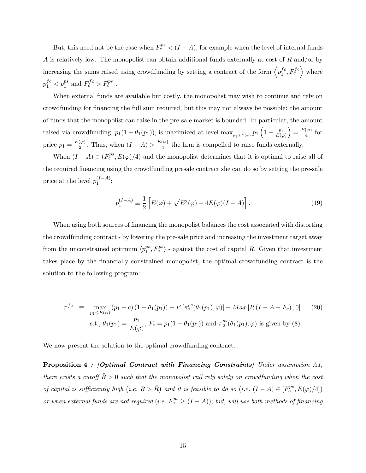But, this need not be the case when  $F_c^{ps} < (I - A)$ , for example when the level of internal funds A is relatively low. The monopolist can obtain additional funds externally at cost of  $R$  and/or by increasing the sums raised using crowdfunding by setting a contract of the form  $\langle p_1^{fc} \rangle$  $\left\langle \begin{array}{c} fc, F_c^{fc} \\ 1 \end{array} \right\rangle$  where  $p_1^{fc} < p_1^{ps}$  and  $F_c^{fc} > F_c^{ps}$ .

When external funds are available but costly, the monopolist may wish to continue and rely on crowdfunding for Önancing the full sum required, but this may not always be possible: the amount of funds that the monopolist can raise in the pre-sale market is bounded. In particular, the amount raised via crowdfunding,  $p_1(1 - \theta_1(p_1))$ , is maximized at level  $\max_{p_1 \le E(\varphi)} p_1\left(1 - \frac{p_1}{E(\varphi)}\right)$  $E(\varphi)$  $= \frac{E(\varphi)}{4}$  $\frac{(\varphi)}{4}$  for price  $p_1 = \frac{E(\varphi)}{2}$  $\frac{(\varphi)}{2}$ . Thus, when  $(I - A) > \frac{E(\varphi)}{4}$  $\frac{(\varphi)}{4}$  the firm is compelled to raise funds externally.

When  $(I - A) \in (F_c^{ps}, E(\varphi)/4)$  and the monopolist determines that it is optimal to raise all of the required financing using the crowdfunding presale contract she can do so by setting the pre-sale price at the level  $p_1^{(I-A)}$ :

$$
p_1^{(I-A)} \equiv \frac{1}{2} \left[ E(\varphi) + \sqrt{E^2(\varphi) - 4E(\varphi)(I-A)} \right]. \tag{19}
$$

When using both sources of financing the monopolist balances the cost associated with distorting the crowdfunding contract - by lowering the pre-sale price and increasing the investment target away from the unconstrained optimum  $\langle p_1^{ps} \rangle$  $\binom{ps}{1}, F_c^{ps}$  - against the cost of capital R. Given that investment takes place by the Önancially constrained monopolist, the optimal crowdfunding contract is the solution to the following program:

$$
\pi^{fc} \equiv \max_{p_1 \le E(\varphi)} (p_1 - c) (1 - \theta_1(p_1)) + E[\pi_2^{ps}(\theta_1(p_1), \varphi)] - Max[R(I - A - F_c), 0] \tag{20}
$$
  
s.t.,  $\theta_1(p_1) = \frac{p_1}{E(\varphi)}, F_c = p_1(1 - \theta_1(p_1))$  and  $\pi_2^{ps}(\theta_1(p_1), \varphi)$  is given by (8).

We now present the solution to the optimal crowdfunding contract:

Proposition 4 : [Optimal Contract with Financing Constraints] Under assumption A1, there exists a cutoff  $R > 0$  such that the monopolist will rely solely on crowdfunding when the cost of capital is sufficiently high (i.e.  $R > \overline{R}$ ) and it is feasible to do so (i.e.  $(I - A) \in [F_c^{ps}, E(\varphi)/4]$ ) or when external funds are not required (i.e.  $F_c^{ps} \geq (I - A)$ ); but, will use both methods of financing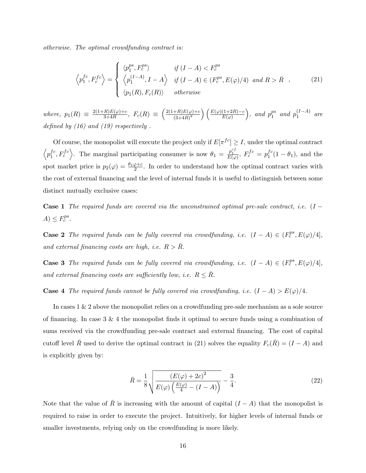otherwise. The optimal crowdfunding contract is:

$$
\left\langle p_1^{fc}, F_c^{fc} \right\rangle = \begin{cases} \left\langle p_1^{ps}, F_c^{ps} \right\rangle & \text{if } (I - A) < F_c^{ps} \\ \left\langle p_1^{(I - A)}, I - A \right\rangle & \text{if } (I - A) \in (F_c^{ps}, E(\varphi)/4) \text{ and } R > \bar{R} \\ \left\langle p_1(R), F_c(R) \right\rangle & \text{otherwise} \end{cases} \tag{21}
$$

where,  $p_1(R) \equiv \frac{2(1+R)E(\varphi)+c}{3+4R}$  $\frac{R E(\varphi) + c}{3 + 4R}$ ,  $F_c(R) \equiv \left(\frac{2(1+R)E(\varphi) + c}{(3+4R)^2}\right)$  $\left(\frac{+R\right)E(\varphi)+c}{\left(3+4R\right)^2}\right)\left(\frac{E(\varphi)(1+2R)-c}{E(\varphi)}\right)$ ), and  $p_1^{ps}$  $_1^{ps}$  and  $p_1^{(I-A)}$  are defined by  $(16)$  and  $(19)$  respectively.

Of course, the monopolist will execute the project only if  $E[\pi^{fc}] \geq I$ , under the optimal contract  $\langle p_1^{fc}$  $\left\{f^c, F_c^{fc}\right\}$ . The marginal participating consumer is now  $\theta_1 = \frac{p_1^{cf}}{E(\varphi)}, F_c^{fc} = p_1^{fc}$  $_1^{Jc}(1-\theta_1)$ , and the spot market price is  $p_2(\varphi) = \frac{\theta_1 \varphi + c}{2}$ . In order to understand how the optimal contract varies with the cost of external Önancing and the level of internal funds it is useful to distinguish between some distinct mutually exclusive cases:

**Case 1** The required funds are covered via the unconstrained optimal pre-sale contract, i.e.  $(I A) \leq F_c^{ps}.$ 

**Case 2** The required funds can be fully covered via crowdfunding, i.e.  $(I - A) \in (F_c^{ps}, E(\varphi)/4]$ , and external financing costs are high, i.e.  $R > \overline{R}$ .

**Case 3** The required funds can be fully covered via crowdfunding, i.e.  $(I - A) \in (F_c^{ps}, E(\varphi)/4]$ , and external financing costs are sufficiently low, i.e.  $R \leq \bar{R}$ .

**Case 4** The required funds cannot be fully covered via crowdfunding, i.e.  $(I - A) > E(\varphi)/4$ .

In cases 1 & 2 above the monopolist relies on a crowdfunding pre-sale mechanism as a sole source of financing. In case  $3 \& 4$  the monopolist finds it optimal to secure funds using a combination of sums received via the crowdfunding pre-sale contract and external financing. The cost of capital cutoff level  $\bar{R}$  used to derive the optimal contract in (21) solves the equality  $F_c(\bar{R}) = (I - A)$  and is explicitly given by:

$$
\bar{R} = \frac{1}{8} \sqrt{\frac{(E(\varphi) + 2c)^2}{E(\varphi) \left(\frac{E(\varphi)}{4} - (I - A)\right)}} - \frac{3}{4}.
$$
\n(22)

Note that the value of  $\overline{R}$  is increasing with the amount of capital  $(I - A)$  that the monopolist is required to raise in order to execute the project. Intuitively, for higher levels of internal funds or smaller investments, relying only on the crowdfunding is more likely.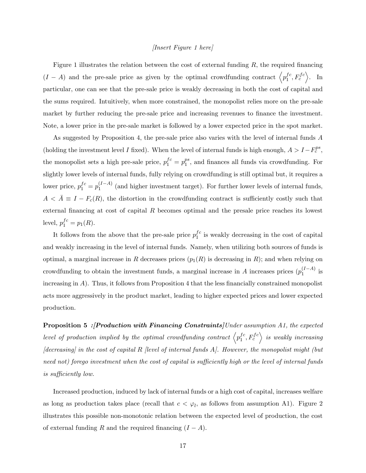#### [Insert Figure 1 here]

Figure 1 illustrates the relation between the cost of external funding  $R$ , the required financing  $(I - A)$  and the pre-sale price as given by the optimal crowdfunding contract  $\left\langle p_1^{fc}, p_2^{fc}, p_3^{fc}, p_4^{fc}, p_5^{fc}, p_6^{fc}, p_7^{fc}, p_8^{fc}, p_{10}^{fc}, p_{11}^{fc}, p_{12}^{fc}, p_{13}^{fc}, p_{14}^{fc}, p_{15}^{fc}, p_{16}^{fc}, p_{17}^{fc}, p_{18}^{fc}, p_{19}^{fc}, p_{10}^{fc}, p_{11$  $\left\langle \begin{array}{c} fc, F_c^{fc} \end{array} \right\rangle$ . In particular, one can see that the pre-sale price is weakly decreasing in both the cost of capital and the sums required. Intuitively, when more constrained, the monopolist relies more on the pre-sale market by further reducing the pre-sale price and increasing revenues to finance the investment. Note, a lower price in the pre-sale market is followed by a lower expected price in the spot market.

As suggested by Proposition 4, the pre-sale price also varies with the level of internal funds A (holding the investment level I fixed). When the level of internal funds is high enough,  $A > I - F_c^{ps}$ , the monopolist sets a high pre-sale price,  $p_1^{fc} = p_1^{ps}$  $_1^{ps}$ , and finances all funds via crowdfunding. For slightly lower levels of internal funds, fully relying on crowdfunding is still optimal but, it requires a lower price,  $p_1^{fc} = p_1^{(I-A)}$  (and higher investment target). For further lower levels of internal funds,  $A < \overline{A} \equiv I - F_c(R)$ , the distortion in the crowdfunding contract is sufficiently costly such that external financing at cost of capital  $R$  becomes optimal and the presale price reaches its lowest level,  $p_1^{fc} = p_1(R)$ .

It follows from the above that the pre-sale price  $p_1^{fc}$  $i<sup>c</sup>$  is weakly decreasing in the cost of capital and weakly increasing in the level of internal funds. Namely, when utilizing both sources of funds is optimal, a marginal increase in R decreases prices  $(p_1(R)$  is decreasing in R); and when relying on crowdfunding to obtain the investment funds, a marginal increase in A increases prices  $(p_1^{(I-A)}$  is increasing in  $A$ ). Thus, it follows from Proposition 4 that the less financially constrained monopolist acts more aggressively in the product market, leading to higher expected prices and lower expected production.

Proposition 5 : [Production with Financing Constraints] Under assumption A1, the expected level of production implied by the optimal crowdfunding contract  $\left\langle p_{1}^{fc}\right\rangle$  $\left\langle \begin{array}{c} f c \ 1 \end{array} \right\rangle$  is weakly increasing  $\lceil$ decreasing] in the cost of capital R [level of internal funds A]. However, the monopolist might (but need not) forego investment when the cost of capital is sufficiently high or the level of internal funds is sufficiently low.

Increased production, induced by lack of internal funds or a high cost of capital, increases welfare as long as production takes place (recall that  $c < \varphi_l$ , as follows from assumption A1). Figure 2 illustrates this possible non-monotonic relation between the expected level of production, the cost of external funding R and the required financing  $(I - A)$ .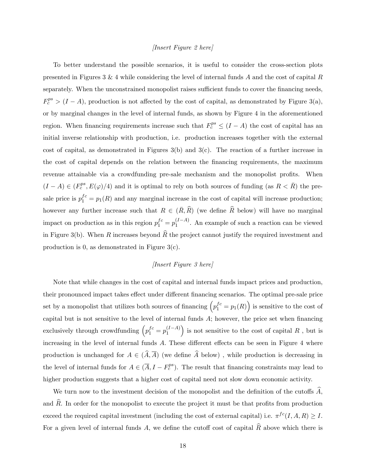#### [Insert Figure 2 here]

To better understand the possible scenarios, it is useful to consider the cross-section plots presented in Figures 3 & 4 while considering the level of internal funds  $A$  and the cost of capital  $R$ separately. When the unconstrained monopolist raises sufficient funds to cover the financing needs,  $F_c^{ps} > (I - A)$ , production is not affected by the cost of capital, as demonstrated by Figure 3(a), or by marginal changes in the level of internal funds, as shown by Figure 4 in the aforementioned region. When financing requirements increase such that  $F_c^{ps} \leq (I - A)$  the cost of capital has an initial inverse relationship with production, i.e. production increases together with the external cost of capital, as demonstrated in Figures  $3(b)$  and  $3(c)$ . The reaction of a further increase in the cost of capital depends on the relation between the Önancing requirements, the maximum revenue attainable via a crowdfunding pre-sale mechanism and the monopolist profits. When  $(I - A) \in (F_c^{ps}, E(\varphi)/4)$  and it is optimal to rely on both sources of funding (as  $R < \overline{R}$ ) the presale price is  $p_1^{fc} = p_1(R)$  and any marginal increase in the cost of capital will increase production; however any further increase such that  $R \in (\overline{R}, \widehat{R})$  (we define  $\widehat{R}$  below) will have no marginal impact on production as in this region  $p_1^{fc} = p_1^{(I-A)}$ . An example of such a reaction can be viewed in Figure 3(b). When R increases beyond  $\widehat{R}$  the project cannot justify the required investment and production is 0, as demonstrated in Figure 3(c).

#### [Insert Figure 3 here]

Note that while changes in the cost of capital and internal funds impact prices and production, their pronounced impact takes effect under different financing scenarios. The optimal pre-sale price set by a monopolist that utilizes both sources of financing  $(p_1^{fc} = p_1(R))$  is sensitive to the cost of capital but is not sensitive to the level of internal funds  $A$ ; however, the price set when financing exclusively through crowdfunding  $\left( p_1^{fc} = p_1^{(I-A)} \right)$ ) is not sensitive to the cost of capital  $R$ , but is increasing in the level of internal funds  $A$ . These different effects can be seen in Figure 4 where production is unchanged for  $A \in (\widehat{A}, \overline{A})$  (we define  $\widehat{A}$  below), while production is decreasing in the level of internal funds for  $A \in (\overline{A}, I - F_c^{ps})$ . The result that financing constraints may lead to higher production suggests that a higher cost of capital need not slow down economic activity.

We turn now to the investment decision of the monopolist and the definition of the cutoffs  $A$ , and  $\widehat{R}$ . In order for the monopolist to execute the project it must be that profits from production exceed the required capital investment (including the cost of external capital) i.e.  $\pi^{fc}(I, A, R) \geq I$ . For a given level of internal funds A, we define the cutoff cost of capital  $\widehat{R}$  above which there is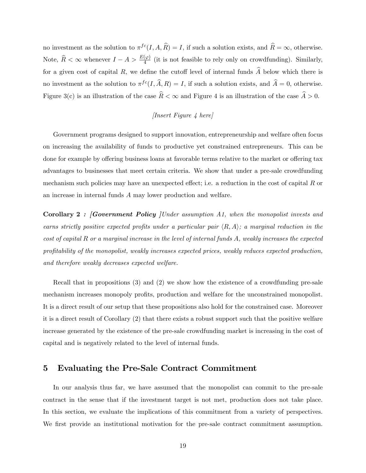no investment as the solution to  $\pi^{fc}(I, A, \hat{R}) = I$ , if such a solution exists, and  $\hat{R} = \infty$ , otherwise. Note,  $\widehat{R} < \infty$  whenever  $I - A > \frac{E(\varphi)}{4}$  (it is not feasible to rely only on crowdfunding). Similarly, for a given cost of capital R, we define the cutoff level of internal funds  $\hat{A}$  below which there is no investment as the solution to  $\pi^{fc}(I, \hat{A}, R) = I$ , if such a solution exists, and  $\hat{A} = 0$ , otherwise. Figure 3(c) is an illustration of the case  $\widehat{R} < \infty$  and Figure 4 is an illustration of the case  $\widehat{A} > 0$ .

## [Insert Figure 4 here]

Government programs designed to support innovation, entrepreneurship and welfare often focus on increasing the availability of funds to productive yet constrained entrepreneurs. This can be done for example by offering business loans at favorable terms relative to the market or offering tax advantages to businesses that meet certain criteria. We show that under a pre-sale crowdfunding mechanism such policies may have an unexpected effect; i.e. a reduction in the cost of capital  $R$  or an increase in internal funds A may lower production and welfare.

Corollary 2 : [Government Policy | Under assumption A1, when the monopolist invests and earns strictly positive expected profits under a particular pair  $\langle R, A \rangle$ ; a marginal reduction in the cost of capital R or a marginal increase in the level of internal funds A, weakly increases the expected profitability of the monopolist, weakly increases expected prices, weakly reduces expected production, and therefore weakly decreases expected welfare.

Recall that in propositions (3) and (2) we show how the existence of a crowdfunding pre-sale mechanism increases monopoly profits, production and welfare for the unconstrained monopolist. It is a direct result of our setup that these propositions also hold for the constrained case. Moreover it is a direct result of Corollary (2) that there exists a robust support such that the positive welfare increase generated by the existence of the pre-sale crowdfunding market is increasing in the cost of capital and is negatively related to the level of internal funds.

## 5 Evaluating the Pre-Sale Contract Commitment

In our analysis thus far, we have assumed that the monopolist can commit to the pre-sale contract in the sense that if the investment target is not met, production does not take place. In this section, we evaluate the implications of this commitment from a variety of perspectives. We first provide an institutional motivation for the pre-sale contract commitment assumption.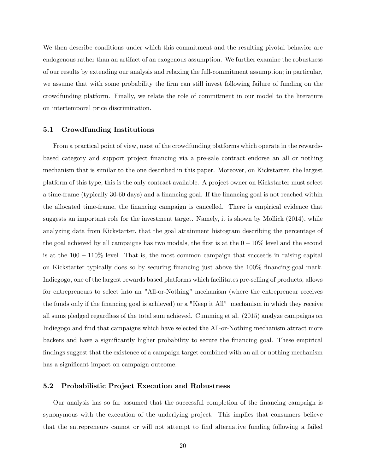We then describe conditions under which this commitment and the resulting pivotal behavior are endogenous rather than an artifact of an exogenous assumption. We further examine the robustness of our results by extending our analysis and relaxing the full-commitment assumption; in particular, we assume that with some probability the firm can still invest following failure of funding on the crowdfunding platform. Finally, we relate the role of commitment in our model to the literature on intertemporal price discrimination.

#### 5.1 Crowdfunding Institutions

From a practical point of view, most of the crowdfunding platforms which operate in the rewardsbased category and support project Önancing via a pre-sale contract endorse an all or nothing mechanism that is similar to the one described in this paper. Moreover, on Kickstarter, the largest platform of this type, this is the only contract available. A project owner on Kickstarter must select a time-frame (typically 30-60 days) and a financing goal. If the financing goal is not reached within the allocated time-frame, the financing campaign is cancelled. There is empirical evidence that suggests an important role for the investment target. Namely, it is shown by Mollick (2014), while analyzing data from Kickstarter, that the goal attainment histogram describing the percentage of the goal achieved by all campaigns has two modals, the first is at the  $0 - 10\%$  level and the second is at the  $100 - 110\%$  level. That is, the most common campaign that succeeds in raising capital on Kickstarter typically does so by securing financing just above the 100% financing-goal mark. Indiegogo, one of the largest rewards based platforms which facilitates pre-selling of products, allows for entrepreneurs to select into an "All-or-Nothing" mechanism (where the entrepreneur receives the funds only if the financing goal is achieved) or a "Keep it All" mechanism in which they receive all sums pledged regardless of the total sum achieved. Cumming et al. (2015) analyze campaigns on Indiegogo and find that campaigns which have selected the All-or-Nothing mechanism attract more backers and have a significantly higher probability to secure the financing goal. These empirical findings suggest that the existence of a campaign target combined with an all or nothing mechanism has a significant impact on campaign outcome.

#### 5.2 Probabilistic Project Execution and Robustness

Our analysis has so far assumed that the successful completion of the Önancing campaign is synonymous with the execution of the underlying project. This implies that consumers believe that the entrepreneurs cannot or will not attempt to Önd alternative funding following a failed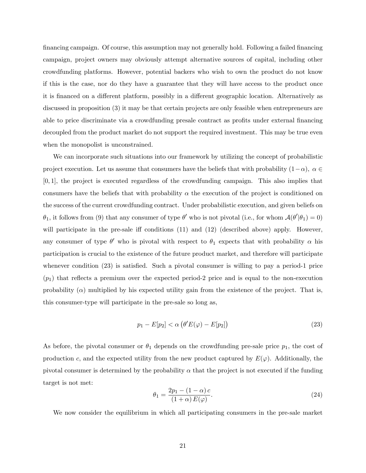Önancing campaign. Of course, this assumption may not generally hold. Following a failed Önancing campaign, project owners may obviously attempt alternative sources of capital, including other crowdfunding platforms. However, potential backers who wish to own the product do not know if this is the case, nor do they have a guarantee that they will have access to the product once it is financed on a different platform, possibly in a different geographic location. Alternatively as discussed in proposition (3) it may be that certain projects are only feasible when entrepreneurs are able to price discriminate via a crowdfunding presale contract as profits under external financing decoupled from the product market do not support the required investment. This may be true even when the monopolist is unconstrained.

We can incorporate such situations into our framework by utilizing the concept of probabilistic project execution. Let us assume that consumers have the beliefs that with probability  $(1-\alpha)$ ,  $\alpha \in$  $[0, 1]$ , the project is executed regardless of the crowdfunding campaign. This also implies that consumers have the beliefs that with probability  $\alpha$  the execution of the project is conditioned on the success of the current crowdfunding contract. Under probabilistic execution, and given beliefs on  $\theta_1$ , it follows from (9) that any consumer of type  $\theta'$  who is not pivotal (i.e., for whom  $\mathcal{A}(\theta'|\theta_1) = 0$ ) will participate in the pre-sale iff conditions  $(11)$  and  $(12)$  (described above) apply. However, any consumer of type  $\theta'$  who is pivotal with respect to  $\theta_1$  expects that with probability  $\alpha$  his participation is crucial to the existence of the future product market, and therefore will participate whenever condition  $(23)$  is satisfied. Such a pivotal consumer is willing to pay a period-1 price  $(p_1)$  that reflects a premium over the expected period-2 price and is equal to the non-execution probability  $(\alpha)$  multiplied by his expected utility gain from the existence of the project. That is, this consumer-type will participate in the pre-sale so long as,

$$
p_1 - E[p_2] < \alpha \left( \theta' E(\varphi) - E[p_2] \right) \tag{23}
$$

As before, the pivotal consumer or  $\theta_1$  depends on the crowdfunding pre-sale price  $p_1$ , the cost of production c, and the expected utility from the new product captured by  $E(\varphi)$ . Additionally, the pivotal consumer is determined by the probability  $\alpha$  that the project is not executed if the funding target is not met:

$$
\theta_1 = \frac{2p_1 - (1 - \alpha)c}{1 + \alpha)c(\varphi)}.\tag{24}
$$

We now consider the equilibrium in which all participating consumers in the pre-sale market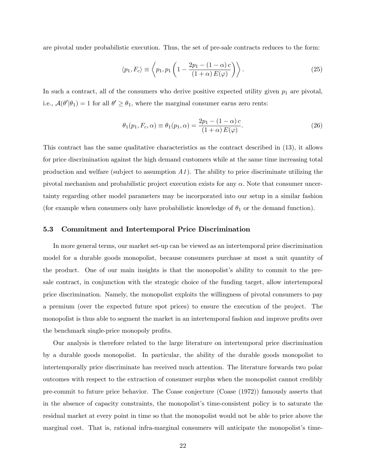are pivotal under probabilistic execution. Thus, the set of pre-sale contracts reduces to the form:

$$
\langle p_1, F_c \rangle \equiv \left\langle p_1, p_1 \left( 1 - \frac{2p_1 - (1 - \alpha)c}{(1 + \alpha)E(\varphi)} \right) \right\rangle. \tag{25}
$$

In such a contract, all of the consumers who derive positive expected utility given  $p_1$  are pivotal, i.e.,  $\mathcal{A}(\theta'|\theta_1) = 1$  for all  $\theta' \ge \theta_1$ , where the marginal consumer earns zero rents:

$$
\theta_1(p_1, F_c, \alpha) \equiv \theta_1(p_1, \alpha) = \frac{2p_1 - (1 - \alpha)c}{(1 + \alpha)E(\varphi)}.
$$
\n(26)

This contract has the same qualitative characteristics as the contract described in (13), it allows for price discrimination against the high demand customers while at the same time increasing total production and welfare (subject to assumption  $A1$ ). The ability to price discriminate utilizing the pivotal mechanism and probabilistic project execution exists for any  $\alpha$ . Note that consumer uncertainty regarding other model parameters may be incorporated into our setup in a similar fashion (for example when consumers only have probabilistic knowledge of  $\theta_1$  or the demand function).

#### 5.3 Commitment and Intertemporal Price Discrimination

In more general terms, our market set-up can be viewed as an intertemporal price discrimination model for a durable goods monopolist, because consumers purchase at most a unit quantity of the product. One of our main insights is that the monopolist's ability to commit to the presale contract, in conjunction with the strategic choice of the funding target, allow intertemporal price discrimination. Namely, the monopolist exploits the willingness of pivotal consumers to pay a premium (over the expected future spot prices) to ensure the execution of the project. The monopolist is thus able to segment the market in an intertemporal fashion and improve profits over the benchmark single-price monopoly profits.

Our analysis is therefore related to the large literature on intertemporal price discrimination by a durable goods monopolist. In particular, the ability of the durable goods monopolist to intertemporally price discriminate has received much attention. The literature forwards two polar outcomes with respect to the extraction of consumer surplus when the monopolist cannot credibly pre-commit to future price behavior. The Coase conjecture (Coase (1972)) famously asserts that in the absence of capacity constraints, the monopolist's time-consistent policy is to saturate the residual market at every point in time so that the monopolist would not be able to price above the marginal cost. That is, rational infra-marginal consumers will anticipate the monopolist's time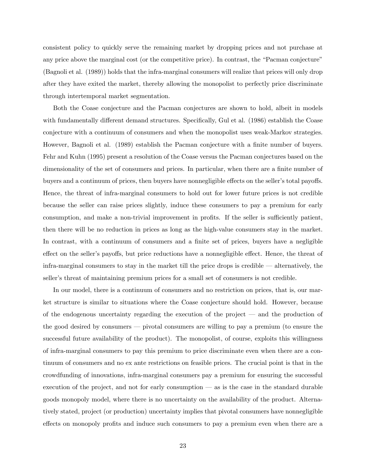consistent policy to quickly serve the remaining market by dropping prices and not purchase at any price above the marginal cost (or the competitive price). In contrast, the "Pacman conjecture" (Bagnoli et al. (1989)) holds that the infra-marginal consumers will realize that prices will only drop after they have exited the market, thereby allowing the monopolist to perfectly price discriminate through intertemporal market segmentation.

Both the Coase conjecture and the Pacman conjectures are shown to hold, albeit in models with fundamentally different demand structures. Specifically, Gul et al. (1986) establish the Coase conjecture with a continuum of consumers and when the monopolist uses weak-Markov strategies. However, Bagnoli et al. (1989) establish the Pacman conjecture with a finite number of buyers. Fehr and Kuhn (1995) present a resolution of the Coase versus the Pacman conjectures based on the dimensionality of the set of consumers and prices. In particular, when there are a finite number of buyers and a continuum of prices, then buyers have nonnegligible effects on the seller's total payoffs. Hence, the threat of infra-marginal consumers to hold out for lower future prices is not credible because the seller can raise prices slightly, induce these consumers to pay a premium for early consumption, and make a non-trivial improvement in profits. If the seller is sufficiently patient, then there will be no reduction in prices as long as the high-value consumers stay in the market. In contrast, with a continuum of consumers and a finite set of prices, buyers have a negligible effect on the seller's payoffs, but price reductions have a nonnegligible effect. Hence, the threat of infra-marginal consumers to stay in the market till the price drops is credible  $-$  alternatively, the seller's threat of maintaining premium prices for a small set of consumers is not credible.

In our model, there is a continuum of consumers and no restriction on prices, that is, our market structure is similar to situations where the Coase conjecture should hold. However, because of the endogenous uncertainty regarding the execution of the project  $\overline{a}$  and the production of the good desired by consumers  $-$  pivotal consumers are willing to pay a premium (to ensure the successful future availability of the product). The monopolist, of course, exploits this willingness of infra-marginal consumers to pay this premium to price discriminate even when there are a continuum of consumers and no ex ante restrictions on feasible prices. The crucial point is that in the crowdfunding of innovations, infra-marginal consumers pay a premium for ensuring the successful execution of the project, and not for early consumption  $-\infty$  as is the case in the standard durable goods monopoly model, where there is no uncertainty on the availability of the product. Alternatively stated, project (or production) uncertainty implies that pivotal consumers have nonnegligible effects on monopoly profits and induce such consumers to pay a premium even when there are a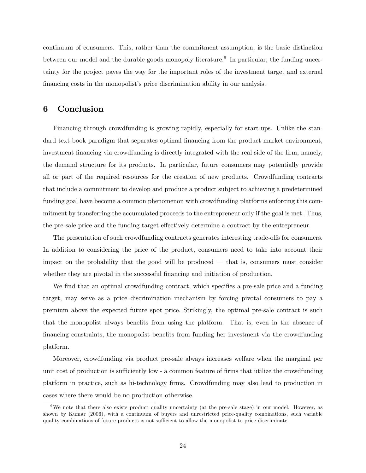continuum of consumers. This, rather than the commitment assumption, is the basic distinction between our model and the durable goods monopoly literature.<sup>6</sup> In particular, the funding uncertainty for the project paves the way for the important roles of the investment target and external financing costs in the monopolist's price discrimination ability in our analysis.

## 6 Conclusion

Financing through crowdfunding is growing rapidly, especially for start-ups. Unlike the standard text book paradigm that separates optimal financing from the product market environment, investment financing via crowdfunding is directly integrated with the real side of the firm, namely, the demand structure for its products. In particular, future consumers may potentially provide all or part of the required resources for the creation of new products. Crowdfunding contracts that include a commitment to develop and produce a product subject to achieving a predetermined funding goal have become a common phenomenon with crowdfunding platforms enforcing this commitment by transferring the accumulated proceeds to the entrepreneur only if the goal is met. Thus, the pre-sale price and the funding target effectively determine a contract by the entrepreneur.

The presentation of such crowdfunding contracts generates interesting trade-offs for consumers. In addition to considering the price of the product, consumers need to take into account their impact on the probability that the good will be produced  $-$  that is, consumers must consider whether they are pivotal in the successful financing and initiation of production.

We find that an optimal crowdfunding contract, which specifies a pre-sale price and a funding target, may serve as a price discrimination mechanism by forcing pivotal consumers to pay a premium above the expected future spot price. Strikingly, the optimal pre-sale contract is such that the monopolist always benefits from using the platform. That is, even in the absence of financing constraints, the monopolist benefits from funding her investment via the crowdfunding platform.

Moreover, crowdfunding via product pre-sale always increases welfare when the marginal per unit cost of production is sufficiently low - a common feature of firms that utilize the crowdfunding platform in practice, such as hi-technology Örms. Crowdfunding may also lead to production in cases where there would be no production otherwise.

<sup>&</sup>lt;sup>6</sup>We note that there also exists product quality uncertainty (at the pre-sale stage) in our model. However, as shown by Kumar (2006), with a continuum of buyers and unrestricted price-quality combinations, such variable quality combinations of future products is not sufficient to allow the monopolist to price discriminate.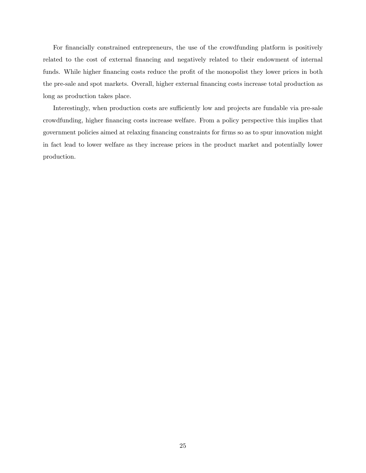For financially constrained entrepreneurs, the use of the crowdfunding platform is positively related to the cost of external financing and negatively related to their endowment of internal funds. While higher financing costs reduce the profit of the monopolist they lower prices in both the pre-sale and spot markets. Overall, higher external financing costs increase total production as long as production takes place.

Interestingly, when production costs are sufficiently low and projects are fundable via pre-sale crowdfunding, higher financing costs increase welfare. From a policy perspective this implies that government policies aimed at relaxing Önancing constraints for Örms so as to spur innovation might in fact lead to lower welfare as they increase prices in the product market and potentially lower production.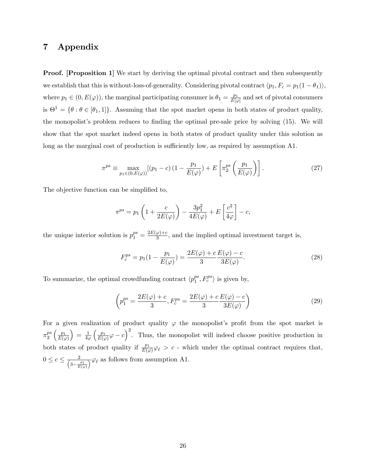## 7 Appendix

**Proof.** [Proposition 1] We start by deriving the optimal pivotal contract and then subsequently we establish that this is without-loss-of-generality. Considering pivotal contract  $\langle p_1, F_c = p_1(1 - \theta_1) \rangle$ , where  $p_1 \in (0, E(\varphi))$ , the marginal participating consumer is  $\theta_1 = \frac{p_1}{E[\varphi]}$  $\frac{p_1}{E[\varphi]}$  and set of pivotal consumers is  $\Theta^1 = \{\theta : \theta \in [\theta_1, 1]\}.$  Assuming that the spot market opens in both states of product quality, the monopolist's problem reduces to finding the optimal pre-sale price by solving (15). We will show that the spot market indeed opens in both states of product quality under this solution as long as the marginal cost of production is sufficiently low, as required by assumption A1.

$$
\pi^{ps} \equiv \max_{p_1 \in (0, E(\varphi))} [(p_1 - c)(1 - \frac{p_1}{E(\varphi)}) + E\left[\pi_2^{ps} \left(\frac{p_1}{E(\varphi)}\right)\right]. \tag{27}
$$

The objective function can be simplified to,

$$
\pi^{ps} = p_1 \left( 1 + \frac{c}{2E(\varphi)} \right) - \frac{3p_1^2}{4E(\varphi)} + E\left[ \frac{c^2}{4\varphi} \right] - c,
$$

the unique interior solution is  $p_1^{ps} = \frac{2E(\varphi) + c}{3}$  $\frac{\varphi_i+\varepsilon}{3}$ , and the implied optimal investment target is,

$$
F_c^{ps} = p_1(1 - \frac{p_1}{E(\varphi)}) = \frac{2E(\varphi) + c E(\varphi) - c}{3 \cdot 3E(\varphi)}.
$$
\n(28)

To summarize, the optimal crowdfunding contract  $\langle p_1^{ps} \rangle$  $_1^{ps}, F_c^{ps}$  is given by,

$$
\left(p_1^{ps} = \frac{2E(\varphi) + c}{3}, F_c^{ps} = \frac{2E(\varphi) + c}{3} \frac{E(\varphi) - c}{3E(\varphi)}\right)
$$
\n(29)

For a given realization of product quality  $\varphi$  the monopolist's profit from the spot market is  $\pi_2^{ps}$ 2  $\int_{-}^{}p_1$  $E(\varphi)$  $= \frac{1}{40}$  $4\varphi$  $\int_{-}^{}p_1$  $\frac{p_1}{E(\varphi)}\varphi-c$  Thus, the monopolist will indeed choose positive production in both states of product quality if  $\frac{p_1}{E(\varphi)}\varphi_{\ell} > c$  - which under the optimal contract requires that,  $0 \leq c \leq \frac{2}{\left(3 - \frac{\varphi_l}{E(\varphi)}\right)} \varphi_{\ell}$  as follows from assumption A1.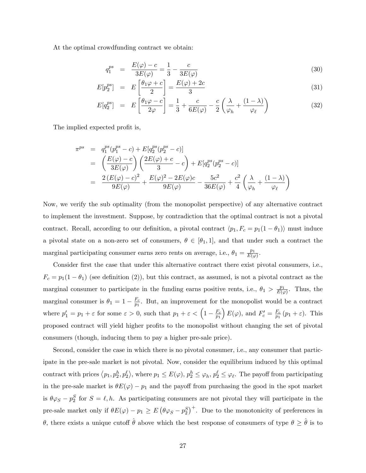At the optimal crowdfunding contract we obtain:

$$
q_1^{ps} = \frac{E(\varphi) - c}{3E(\varphi)} = \frac{1}{3} - \frac{c}{3E(\varphi)}
$$
\n(30)

$$
E[p_2^{ps}] = E\left[\frac{\theta_1\varphi + c}{2}\right] = \frac{E(\varphi) + 2c}{3} \tag{31}
$$

$$
E[q_2^{ps}] = E\left[\frac{\theta_1\varphi - c}{2\varphi}\right] = \frac{1}{3} + \frac{c}{6E(\varphi)} - \frac{c}{2}\left(\frac{\lambda}{\varphi_h} + \frac{(1-\lambda)}{\varphi_\ell}\right)
$$
(32)

The implied expected profit is,

$$
\pi^{ps} = q_1^{ps} (p_1^{ps} - c) + E[q_2^{ps} (p_2^{ps} - c)]
$$
  
=  $\left(\frac{E(\varphi) - c}{3E(\varphi)}\right) \left(\frac{2E(\varphi) + c}{3} - c\right) + E[q_2^{ps} (p_2^{ps} - c)]$   
=  $\frac{2(E(\varphi) - c)^2}{9E(\varphi)} + \frac{E(\varphi)^2 - 2E(\varphi)c}{9E(\varphi)} - \frac{5c^2}{36E(\varphi)} + \frac{c^2}{4} \left(\frac{\lambda}{\varphi_h} + \frac{(1 - \lambda)}{\varphi_\ell}\right)$ 

Now, we verify the sub optimality (from the monopolist perspective) of any alternative contract to implement the investment. Suppose, by contradiction that the optimal contract is not a pivotal contract. Recall, according to our definition, a pivotal contract  $\langle p_1, F_c = p_1(1 - \theta_1) \rangle$  must induce a pivotal state on a non-zero set of consumers,  $\theta \in [\theta_1, 1]$ , and that under such a contract the marginal participating consumer earns zero rents on average, i.e.,  $\theta_1 = \frac{p_1}{E(q)}$  $\frac{p_1}{E(\varphi)}$  .

Consider first the case that under this alternative contract there exist pivotal consumers, i.e.,  $F_c = p_1(1 - \theta_1)$  (see definition (2)), but this contract, as assumed, is not a pivotal contract as the marginal consumer to participate in the funding earns positive rents, i.e.,  $\theta_1 > \frac{p_1}{E(a)}$  $\frac{p_1}{E(\varphi)}$ . Thus, the marginal consumer is  $\theta_1 = 1 - \frac{F_c}{p_1}$  $\frac{F_c}{p_1}$ . But, an improvement for the monopolist would be a contract where  $p'_1 = p_1 + \varepsilon$  for some  $\varepsilon > 0$ , such that  $p_1 + \varepsilon < \left(1 - \frac{F_c}{p_1}\right)$  $\overline{p}_1$  $E(\varphi)$ , and  $F_c' = \frac{F_c}{p_1}$  $\frac{F_c}{p_1}(p_1+\varepsilon)$ . This proposed contract will yield higher profits to the monopolist without changing the set of pivotal consumers (though, inducing them to pay a higher pre-sale price).

Second, consider the case in which there is no pivotal consumer, i.e., any consumer that participate in the pre-sale market is not pivotal. Now, consider the equilibrium induced by this optimal contract with prices  $\langle p_1, p_2^h, p_2^{\ell} \rangle$ , where  $p_1 \leq E(\varphi), p_2^h \leq \varphi_h, p_2^{\ell} \leq \varphi_{\ell}$ . The payoff from participating in the pre-sale market is  $\theta E(\varphi) - p_1$  and the payoff from purchasing the good in the spot market is  $\theta \varphi_S - p_2^S$  for  $S = \ell, h$ . As participating consumers are not pivotal they will participate in the pre-sale market only if  $\theta E(\varphi) - p_1 \ge E \left(\theta \varphi_S - p_2^S\right)^+$ . Due to the monotonicity of preferences in  $\theta$ , there exists a unique cutoff  $\hat{\theta}$  above which the best response of consumers of type  $\theta \geq \hat{\theta}$  is to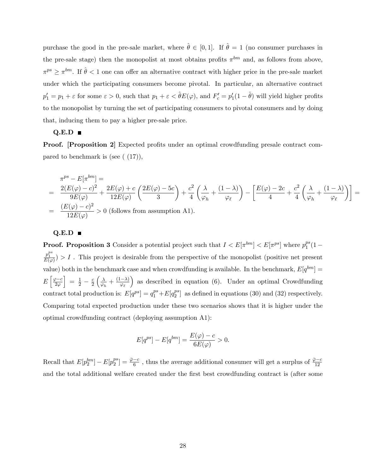purchase the good in the pre-sale market, where  $\hat{\theta} \in [0, 1]$ . If  $\hat{\theta} = 1$  (no consumer purchases in the pre-sale stage) then the monopolist at most obtains profits  $\pi^{bm}$  and, as follows from above,  $\pi^{ps} \geq \pi^{bm}$ . If  $\hat{\theta} < 1$  one can offer an alternative contract with higher price in the pre-sale market under which the participating consumers become pivotal. In particular, an alternative contract  $p'_1 = p_1 + \varepsilon$  for some  $\varepsilon > 0$ , such that  $p_1 + \varepsilon < \hat{\theta} E(\varphi)$ , and  $F'_c = p'_1(1 - \hat{\theta})$  will yield higher profits to the monopolist by turning the set of participating consumers to pivotal consumers and by doing that, inducing them to pay a higher pre-sale price.

#### $Q.E.D \blacksquare$

**Proof.** [Proposition 2] Expected profits under an optimal crowdfunding presale contract compared to benchmark is (see  $(17)$ ),

$$
\pi^{ps} - E[\pi^{bm}] =
$$
\n
$$
= \frac{2(E(\varphi) - c)^2}{9E(\varphi)} + \frac{2E(\varphi) + c}{12E(\varphi)} \left( \frac{2E(\varphi) - 5c}{3} \right) + \frac{c^2}{4} \left( \frac{\lambda}{\varphi_h} + \frac{(1 - \lambda)}{\varphi_{\ell}} \right) - \left[ \frac{E(\varphi) - 2c}{4} + \frac{c^2}{4} \left( \frac{\lambda}{\varphi_h} + \frac{(1 - \lambda)}{\varphi_{\ell}} \right) \right] =
$$
\n
$$
= \frac{(E(\varphi) - c)^2}{12E(\varphi)} > 0 \text{ (follows from assumption A1)}.
$$

#### $Q.E.D \blacksquare$

**Proof. Proposition 3** Consider a potential project such that  $I < E[\pi^{bm}] < E[\pi^{ps}]$  where  $p_1^{ps}$  $l_1^{ps}(1 \frac{p_1^{ps}}{E(\varphi)}$ ) > I. This project is desirable from the perspective of the monopolist (positive net present value) both in the benchmark case and when crowdfunding is available. In the benchmark,  $E[q^{bm}] =$  $E\left[\frac{\varphi-c}{2\varphi}\right]$  $\Big] = \frac{1}{2} - \frac{c}{2}$  $\overline{2}$  $\sqrt{\lambda}$  $\frac{\lambda}{\varphi_h}+\frac{(1-\lambda)}{\varphi_\ell}$ ) as described in equation (6). Under an optimal Crowdfunding contract total production is:  $E[q^{ps}] = q_1^{ps} + E[q_2^{ps}]$  $2^{ps}$  as defined in equations (30) and (32) respectively. Comparing total expected production under these two scenarios shows that it is higher under the optimal crowdfunding contract (deploying assumption A1):

$$
E[q^{ps}] - E[q^{bm}] = \frac{E(\varphi) - c}{6E(\varphi)} > 0.
$$

Recall that  $E[p_2^{bm}] - E[p_2^{ps}]$  $\frac{p}{2}^{2}$  =  $\frac{\bar{\varphi}-c}{6}$ , thus the average additional consumer will get a surplus of  $\frac{\bar{\varphi}-c}{12}$ and the total additional welfare created under the first best crowdfunding contract is (after some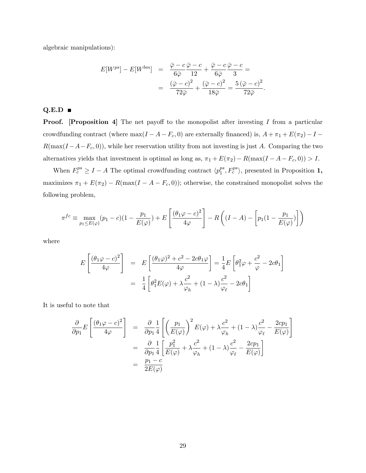algebraic manipulations):

$$
E[W^{ps}] - E[W^{bm}] = \frac{\overline{\varphi} - c}{6\overline{\varphi}} \frac{\overline{\varphi} - c}{12} + \frac{\overline{\varphi} - c}{6\overline{\varphi}} \frac{\overline{\varphi} - c}{3} =
$$
  

$$
= \frac{(\overline{\varphi} - c)^2}{72\overline{\varphi}} + \frac{(\overline{\varphi} - c)^2}{18\overline{\varphi}} = \frac{5(\overline{\varphi} - c)^2}{72\overline{\varphi}}.
$$

### $Q.E.D =$

**Proof.** [Proposition 4] The net payoff to the monopolist after investing  $I$  from a particular crowdfunding contract (where  $\max(I - A - F_c, 0)$ ) are externally financed) is,  $A + \pi_1 + E(\pi_2) - I R(\max(I - A - F_c, 0))$ , while her reservation utility from not investing is just A. Comparing the two alternatives yields that investment is optimal as long as,  $\pi_1 + E(\pi_2) - R(\max(I - A - F_c, 0)) > I$ .

When  $F_c^{ps} \geq I - A$  The optimal crowdfunding contract  $\langle p_1^{ps} \rangle$  $_1^{ps}, F_c^{ps}$ , presented in Proposition 1, maximizes  $\pi_1 + E(\pi_2) - R(\max(I - A - F_c, 0))$ ; otherwise, the constrained monopolist solves the following problem,

$$
\pi^{fc} \equiv \max_{p_1 \le E(\varphi)} (p_1 - c)(1 - \frac{p_1}{E(\varphi)}) + E\left[\frac{(\theta_1 \varphi - c)^2}{4\varphi}\right] - R\left((I - A) - \left[p_1(1 - \frac{p_1}{E(\varphi)})\right]\right)
$$

where

$$
E\left[\frac{(\theta_1\varphi - c)^2}{4\varphi}\right] = E\left[\frac{(\theta_1\varphi)^2 + c^2 - 2c\theta_1\varphi}{4\varphi}\right] = \frac{1}{4}E\left[\theta_1^2\varphi + \frac{c^2}{\varphi} - 2c\theta_1\right]
$$

$$
= \frac{1}{4}\left[\theta_1^2E(\varphi) + \lambda\frac{c^2}{\varphi_h} + (1-\lambda)\frac{c^2}{\varphi_\ell} - 2c\theta_1\right]
$$

It is useful to note that

$$
\frac{\partial}{\partial p_1} E\left[\frac{(\theta_1 \varphi - c)^2}{4\varphi}\right] = \frac{\partial}{\partial p_1} \frac{1}{4} \left[\left(\frac{p_1}{E(\varphi)}\right)^2 E(\varphi) + \lambda \frac{c^2}{\varphi_h} + (1 - \lambda) \frac{c^2}{\varphi_\ell} - \frac{2cp_1}{E(\varphi)}\right]
$$

$$
= \frac{\partial}{\partial p_1} \frac{1}{4} \left[\frac{p_1^2}{E(\varphi)} + \lambda \frac{c^2}{\varphi_h} + (1 - \lambda) \frac{c^2}{\varphi_\ell} - \frac{2cp_1}{E(\varphi)}\right]
$$

$$
= \frac{p_1 - c}{2E(\varphi)}
$$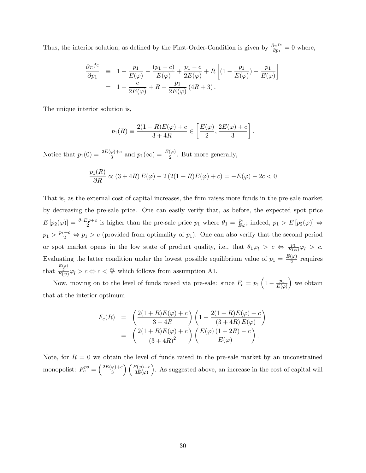Thus, the interior solution, as defined by the First-Order-Condition is given by  $\frac{\partial \pi^{fc}}{\partial p_1} = 0$  where,

$$
\frac{\partial \pi^{fc}}{\partial p_1} \equiv 1 - \frac{p_1}{E(\varphi)} - \frac{(p_1 - c)}{E(\varphi)} + \frac{p_1 - c}{2E(\varphi)} + R \left[ (1 - \frac{p_1}{E(\varphi)}) - \frac{p_1}{E(\varphi)} \right]
$$
  
= 1 +  $\frac{c}{2E(\varphi)} + R - \frac{p_1}{2E(\varphi)} (4R + 3).$ 

The unique interior solution is,

$$
p_1(R) \equiv \frac{2(1+R)E(\varphi) + c}{3+4R} \in \left[\frac{E(\varphi)}{2}, \frac{2E(\varphi) + c}{3}\right].
$$

Notice that  $p_1(0) = \frac{2E(\varphi) + c}{3}$  and  $p_1(\infty) = \frac{E(\varphi)}{2}$ . But more generally,

$$
\frac{p_1(R)}{\partial R} \propto (3 + 4R) E(\varphi) - 2(2(1 + R)E(\varphi) + c) = -E(\varphi) - 2c < 0
$$

That is, as the external cost of capital increases, the firm raises more funds in the pre-sale market by decreasing the pre-sale price. One can easily verify that, as before, the expected spot price  $E[p_2(\varphi)] = \frac{\theta_1 E \varphi + c}{2}$  is higher than the pre-sale price  $p_1$  where  $\theta_1 = \frac{p_1}{E \varphi}$ ; indeed,  $p_1 > E[p_2(\varphi)] \Leftrightarrow$  $p_1 > \frac{p_1+c}{2} \Leftrightarrow p_1 > c$  (provided from optimality of  $p_1$ ). One can also verify that the second period or spot market opens in the low state of product quality, i.e., that  $\theta_1 \varphi_l > c \Leftrightarrow \frac{p_1}{E(\varphi)} \varphi_l > c$ . Evaluating the latter condition under the lowest possible equilibrium value of  $p_1 = \frac{E(\varphi)}{2}$  $\frac{(\varphi)}{2}$  requires that  $\frac{E(\varphi)}{E(\varphi)}\varphi_l > c \Leftrightarrow c < \frac{\varphi_l}{2}$  which follows from assumption A1.

Now, moving on to the level of funds raised via pre-sale: since  $F_c = p_1 \left(1 - \frac{p_1}{E(q_1)}\right)$  $E(\varphi)$  we obtain that at the interior optimum

$$
F_c(R) = \left(\frac{2(1+R)E(\varphi) + c}{3+4R}\right) \left(1 - \frac{2(1+R)E(\varphi) + c}{(3+4R)E(\varphi)}\right)
$$
  
= 
$$
\left(\frac{2(1+R)E(\varphi) + c}{(3+4R)^2}\right) \left(\frac{E(\varphi)(1+2R) - c}{E(\varphi)}\right).
$$

Note, for  $R = 0$  we obtain the level of funds raised in the pre-sale market by an unconstrained monopolist:  $F_c^{ps} = \left(\frac{2E(\varphi) + c}{3}\right)$  $\left(\frac{\varphi\right)+c}{3}\right)\left(\frac{E(\varphi)-c}{3E(\varphi)}\right)$ . As suggested above, an increase in the cost of capital will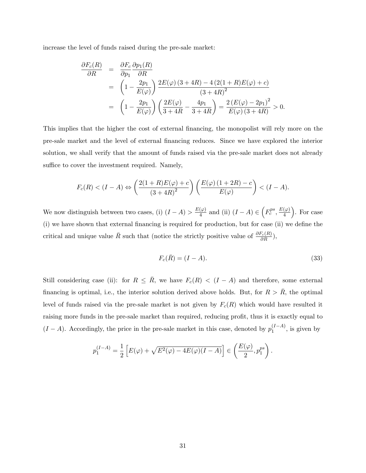increase the level of funds raised during the pre-sale market:

$$
\frac{\partial F_c(R)}{\partial R} = \frac{\partial F_c}{\partial p_1} \frac{\partial p_1(R)}{\partial R}
$$
  
=  $\left(1 - \frac{2p_1}{E(\varphi)}\right) \frac{2E(\varphi)(3+4R) - 4(2(1+R)E(\varphi) + c)}{(3+4R)^2}$   
=  $\left(1 - \frac{2p_1}{E(\varphi)}\right) \left(\frac{2E(\varphi)}{3+4R} - \frac{4p_1}{3+4R}\right) = \frac{2(E(\varphi) - 2p_1)^2}{E(\varphi)(3+4R)} > 0.$ 

This implies that the higher the cost of external Önancing, the monopolist will rely more on the pre-sale market and the level of external financing reduces. Since we have explored the interior solution, we shall verify that the amount of funds raised via the pre-sale market does not already suffice to cover the investment required. Namely,

$$
F_c(R) < (I - A) \Leftrightarrow \left(\frac{2(1+R)E(\varphi) + c}{\left(3 + 4R\right)^2}\right) \left(\frac{E(\varphi)\left(1 + 2R\right) - c}{E(\varphi)}\right) < (I - A).
$$

We now distinguish between two cases, (i)  $(I - A) > \frac{E(\varphi)}{4}$  $\frac{(\varphi)}{4}$  and (ii)  $(I - A) \in \left(F_c^{ps}, \frac{E(\varphi)}{4}\right)$ 4 . For case  $(i)$  we have shown that external financing is required for production, but for case  $(ii)$  we define the critical and unique value  $\bar{R}$  such that (notice the strictly positive value of  $\frac{\partial F_c(R)}{\partial R}$ ),

$$
F_c(\bar{R}) = (I - A). \tag{33}
$$

Still considering case (ii): for  $R \leq \overline{R}$ , we have  $F_c(R) < (I - A)$  and therefore, some external financing is optimal, i.e., the interior solution derived above holds. But, for  $R > R$ , the optimal level of funds raised via the pre-sale market is not given by  $F_c(R)$  which would have resulted it raising more funds in the pre-sale market than required, reducing profit, thus it is exactly equal to  $(I - A)$ . Accordingly, the price in the pre-sale market in this case, denoted by  $p_1^{(I-A)}$ , is given by

$$
p_1^{(I-A)} = \frac{1}{2} \left[ E(\varphi) + \sqrt{E^2(\varphi) - 4E(\varphi)(I-A)} \right] \in \left( \frac{E(\varphi)}{2}, p_1^{ps} \right).
$$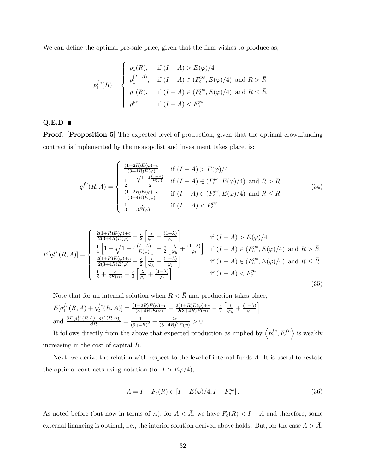We can define the optimal pre-sale price, given that the firm wishes to produce as,

$$
p_1^{fc}(R) = \begin{cases} p_1(R), & \text{if } (I - A) > E(\varphi)/4 \\ p_1^{(I - A)}, & \text{if } (I - A) \in (F_c^{ps}, E(\varphi)/4) \text{ and } R > \bar{R} \\ p_1(R), & \text{if } (I - A) \in (F_c^{ps}, E(\varphi)/4) \text{ and } R \leq \bar{R} \\ p_1^{ps}, & \text{if } (I - A) < F_c^{ps} \end{cases}
$$

#### $Q.E.D \blacksquare$

**Proof.** [Proposition 5] The expected level of production, given that the optimal crowdfunding contract is implemented by the monopolist and investment takes place, is:

$$
q_1^{fc}(R,A) = \begin{cases} \frac{(1+2R)E(\varphi)-c}{(3+4R)E(\varphi)} & \text{if } (I-A) > E(\varphi)/4\\ \frac{1}{2} - \frac{\sqrt{1-4\frac{(I-A)}{E(\varphi)}}}{2} & \text{if } (I-A) \in (F_c^{ps}, E(\varphi)/4) \text{ and } R > \bar{R} \\ \frac{(1+2R)E(\varphi)-c}{(3+4R)E(\varphi)} & \text{if } (I-A) \in (F_c^{ps}, E(\varphi)/4) \text{ and } R \leq \bar{R} \\ \frac{1}{3} - \frac{c}{3E(\varphi)} & \text{if } (I-A) < F_c^{ps} \end{cases}
$$
(34)

$$
E[q_2^{fc}(R,A)] = \begin{cases} \frac{2(1+R)E(\varphi)+c}{2(3+4R)E(\varphi)} - \frac{c}{2} \left[ \frac{\lambda}{\varphi_h} + \frac{(1-\lambda)}{\varphi_l} \right] & \text{if } (I-A) > E(\varphi)/4\\ \frac{1}{4} \left[ 1 + \sqrt{1 - 4\frac{(I-A)}{E(\varphi)}} \right] - \frac{c}{2} \left[ \frac{\lambda}{\varphi_h} + \frac{(1-\lambda)}{\varphi_l} \right] & \text{if } (I-A) \in (F_c^{ps}, E(\varphi)/4) \text{ and } R > \bar{R} \\ \frac{2(1+R)E(\varphi)+c}{2(3+4R)E(\varphi)} - \frac{c}{2} \left[ \frac{\lambda}{\varphi_h} + \frac{(1-\lambda)}{\varphi_l} \right] & \text{if } (I-A) \in (F_c^{ps}, E(\varphi)/4) \text{ and } R \le \bar{R} \\ \frac{1}{3} + \frac{c}{6E(\varphi)} - \frac{c}{2} \left[ \frac{\lambda}{\varphi_h} + \frac{(1-\lambda)}{\varphi_l} \right] & \text{if } (I-A) < F_c^{ps} \end{cases}
$$
(35)

Note that for an internal solution when  $R < \bar{R}$  and production takes place,

$$
E[q_1^{fc}(R,A) + q_2^{fc}(R,A)] = \frac{(1+2R)E(\varphi) - c}{(3+4R)E(\varphi)} + \frac{2(1+R)E(\varphi) + c}{2(3+4R)E(\varphi)} - \frac{c}{2} \left[ \frac{\lambda}{\varphi_h} + \frac{(1-\lambda)}{\varphi_l} \right]
$$
  
and 
$$
\frac{\partial E[q_1^{fc}(R,A) + q_2^{fc}(R,A)]}{\partial R} = \frac{1}{(3+4R)^2} + \frac{2c}{(3+4R)^2 E(\varphi)} > 0
$$

It follows directly from the above that expected production as implied by  $\left\langle p_1^{fc} \right\rangle$  $\left\langle \begin{array}{c} fc, F_c^{fc} \end{array} \right\rangle$  is weakly increasing in the cost of capital R.

Next, we derive the relation with respect to the level of internal funds A. It is useful to restate the optimal contracts using notation (for  $I > E\varphi/4$ ),

$$
\bar{A} = I - F_c(R) \in [I - E(\varphi)/4, I - F_c^{ps}].
$$
\n(36)

As noted before (but now in terms of A), for  $A < \overline{A}$ , we have  $F_c(R) < I - A$  and therefore, some external financing is optimal, i.e., the interior solution derived above holds. But, for the case  $A > \overline{A}$ ,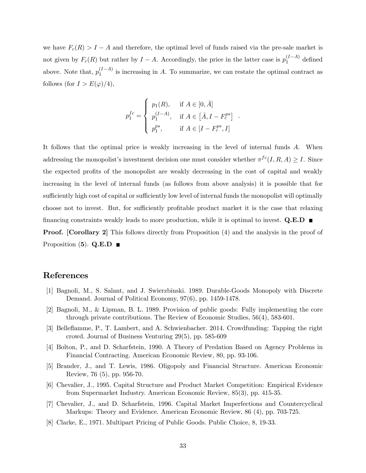we have  $F_c(R) > I - A$  and therefore, the optimal level of funds raised via the pre-sale market is not given by  $F_c(R)$  but rather by  $I - A$ . Accordingly, the price in the latter case is  $p_1^{(I-A)}$  defined above. Note that,  $p_1^{(I-A)}$  is increasing in A. To summarize, we can restate the optimal contract as follows (for  $I > E(\varphi)/4$ ),

$$
p_1^{fc} = \begin{cases} p_1(R), & \text{if } A \in [0, \bar{A}] \\ p_1^{(I-A)}, & \text{if } A \in [\bar{A}, I - F_c^{ps}] \\ p_1^{ps}, & \text{if } A \in [I - F_c^{ps}, I] \end{cases}.
$$

It follows that the optimal price is weakly increasing in the level of internal funds A. When addressing the monopolist's investment decision one must consider whether  $\pi^{fc}(I, R, A) \geq I$ . Since the expected profits of the monopolist are weakly decreasing in the cost of capital and weakly increasing in the level of internal funds (as follows from above analysis) it is possible that for sufficiently high cost of capital or sufficiently low level of internal funds the monopolist will optimally choose not to invest. But, for sufficiently profitable product market it is the case that relaxing financing constraints weakly leads to more production, while it is optimal to invest.  $Q.E.D$ **Proof.** [Corollary 2] This follows directly from Proposition (4) and the analysis in the proof of

Proposition  $(5)$ . Q.E.D

## References

- [1] Bagnoli, M., S. Salant, and J. Swierzbinski. 1989. Durable-Goods Monopoly with Discrete Demand. Journal of Political Economy, 97(6), pp. 1459-1478.
- [2] Bagnoli, M., & Lipman, B. L. 1989. Provision of public goods: Fully implementing the core through private contributions. The Review of Economic Studies, 56(4), 583-601.
- [3] Belleáamme, P., T. Lambert, and A. Schwienbacher. 2014. Crowdfunding: Tapping the right crowd. Journal of Business Venturing 29(5), pp. 585-609
- [4] Bolton, P., and D. Scharfstein, 1990. A Theory of Predation Based on Agency Problems in Financial Contracting. American Economic Review, 80, pp. 93-106.
- [5] Brander, J., and T. Lewis, 1986. Oligopoly and Financial Structure. American Economic Review, 76 (5), pp. 956-70.
- [6] Chevalier, J., 1995. Capital Structure and Product Market Competition: Empirical Evidence from Supermarket Industry. American Economic Review, 85(3), pp. 415-35.
- [7] Chevalier, J., and D. Scharfstein, 1996. Capital Market Imperfections and Countercyclical Markups: Theory and Evidence. American Economic Review, 86 (4), pp. 703-725.
- [8] Clarke, E., 1971. Multipart Pricing of Public Goods. Public Choice, 8, 19-33.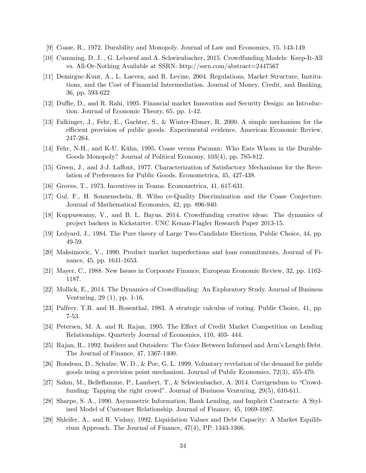- [9] Coase, R., 1972. Durability and Monopoly. Journal of Law and Economics, 15, 143-149.
- [10] Cumming, D. J. , G. Leboeuf and A. Schwienbacher, 2015. Crowdfunding Models: Keep-It-All vs. All-Or-Nothing Available at SSRN: http://ssrn.com/abstract=2447567
- [11] Demirguc-Kunt, A., L. Laeven, and R. Levine, 2004. Regulations, Market Structure, Institutions, and the Cost of Financial Intermediation. Journal of Money, Credit, and Banking, 36, pp. 593-622
- [12] Duffie, D., and R. Rahi, 1995. Financial market Innovation and Security Design: an Introduction. Journal of Economic Theory, 65, pp. 1-42.
- [13] Falkinger, J., Fehr, E., Gachter, S., & Winter-Ebmer, R. 2000. A simple mechanism for the efficient provision of public goods: Experimental evidence. American Economic Review, 247-264.
- [14] Fehr, N-H., and K-U. Kühn, 1995. Coase versus Pacman: Who Eats Whom in the Durable-Goods Monopoly? Journal of Political Economy, 103(4), pp. 785-812.
- [15] Green, J., and J-J. Laffont, 1977. Characterization of Satisfactory Mechanisms for the Revelation of Preferences for Public Goods. Econometrica, 45, 427-438.
- [16] Groves, T., 1973. Incentives in Teams. Econometrica, 41, 617-631.
- [17] Gul, F., H. Sonnenschein, R. Wilso ce-Quality Discrimination and the Coase Conjecture. Journal of Mathematical Economics, 42, pp. 896-940.
- [18] Kuppuswamy, V., and B. L. Bayus. 2014. Crowdfunding creative ideas: The dynamics of project backers in Kickstarter. UNC Kenan-Flagler Research Paper 2013-15.
- [19] Ledyard, J., 1984. The Pure theory of Large Two-Candidate Elections, Public Choice, 44, pp. 49-59.
- [20] Maksimovic, V., 1990. Product market imperfections and loan commitments, Journal of Finance, 45, pp. 1641-1653.
- [21] Mayer, C., 1988. New Issues in Corporate Finance, European Economic Review, 32, pp. 1162- 1187.
- [22] Mollick, E., 2014. The Dynamics of Crowdfunding: An Exploratory Study. Journal of Business Venturing, 29 (1), pp. 1-16.
- [23] Palfrey, T.R. and H. Rosenthal, 1983. A strategic calculus of voting. Public Choice, 41, pp. 7-53.
- [24] Petersen, M. A. and R. Rajan, 1995. The Effect of Credit Market Competition on Lending Relationships. Quarterly Journal of Economics, 110, 403- 444.
- [25] Rajan, R., 1992. Insiders and Outsiders: The Coice Between Informed and Armís Length Debt. The Journal of Finance, 47, 1367-1400.
- [26] Rondeau, D., Schulze, W. D., & Poe, G. L. 1999. Voluntary revelation of the demand for public goods using a provision point mechanism. Journal of Public Economics, 72(3), 455-470.
- [27] Sahm, M., Belleflamme, P., Lambert, T., & Schwienbacher, A. 2014. Corrigendum to "Crowdfunding: Tapping the right crowd". Journal of Business Venturing, 29(5), 610-611.
- [28] Sharpe, S. A., 1990. Asymmetric Information, Bank Lending, and Implicit Contracts: A Stylized Model of Customer Relationship. Journal of Finance, 45, 1069-1087.
- [29] Shleifer, A., and R. Vishny, 1992. Liquidation Values and Debt Capacity: A Market Equilibrium Approach. The Journal of Finance, 47(4), PP. 1343-1366.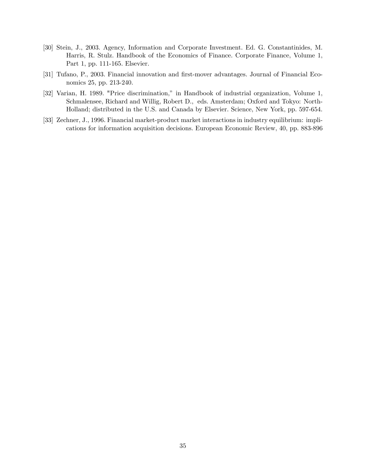- [30] Stein, J., 2003. Agency, Information and Corporate Investment. Ed. G. Constantinides, M. Harris, R. Stulz. Handbook of the Economics of Finance. Corporate Finance, Volume 1, Part 1, pp. 111-165. Elsevier.
- [31] Tufano, P., 2003. Financial innovation and first-mover advantages. Journal of Financial Economics 25, pp. 213-240.
- [32] Varian, H. 1989. "Price discrimination,î in Handbook of industrial organization, Volume 1, Schmalensee, Richard and Willig, Robert D., eds. Amsterdam; Oxford and Tokyo: North-Holland; distributed in the U.S. and Canada by Elsevier. Science, New York, pp. 597-654.
- [33] Zechner, J., 1996. Financial market-product market interactions in industry equilibrium: implications for information acquisition decisions. European Economic Review, 40, pp. 883-896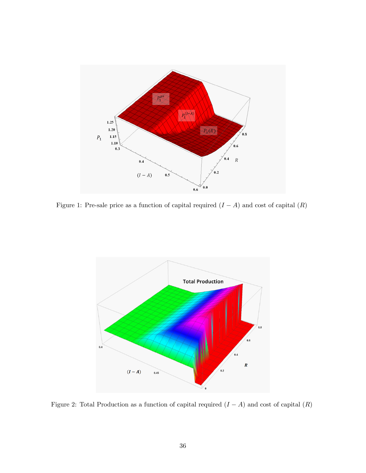

Figure 1: Pre-sale price as a function of capital required  $(I - A)$  and cost of capital  $(R)$ 



Figure 2: Total Production as a function of capital required  $(I - A)$  and cost of capital  $(R)$